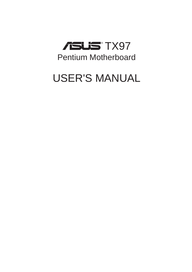

# USER'S MANUAL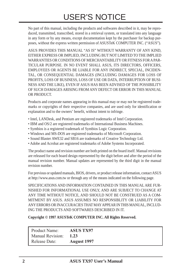No part of this manual, including the products and softwares described in it, may be reproduced, transmitted, transcribed, stored in a retrieval system, or translated into any language in any form or by any means, except documentation kept by the purchaser for backup purposes, without the express written permission of ASUSTeK COMPUTER INC. ("ASUS").

ASUS PROVIDES THIS MANUAL "AS IS" WITHOUT WARRANTY OF ANY KIND, EITHER EXPRESS OR IMPLIED, INCLUDING BUT NOT LIMITED TO THE IMPLIED WARRANTIES OR CONDITIONS OF MERCHANTABILITY OR FITNESS FOR A PAR-TICULAR PURPOSE. IN NO EVENT SHALL ASUS, ITS DIRECTORS, OFFICERS, EMPLOYEES OR AGENTS BE LIABLE FOR ANY INDIRECT, SPECIAL, INCIDEN-TAL, OR CONSEQUENTIAL DAMAGES (INCLUDING DAMAGES FOR LOSS OF PROFITS, LOSS OF BUSINESS, LOSS OF USE OR DATA, INTERRUPTION OF BUSI-NESS AND THE LIKE), EVEN IF ASUS HAS BEEN ADVISED OF THE POSSIBILITY OF SUCH DAMAGES ARISING FROM ANY DEFECT OR ERROR IN THIS MANUAL OR PRODUCT.

Products and corporate names appearing in this manual may or may not be registered trademarks or copyrights of their respective companies, and are used only for identification or explanation and to the owners' benefit, without intent to infringe.

- Intel, LANDesk, and Pentium are registered trademarks of Intel Corporation.
- IBM and OS/2 are registered trademarks of International Business Machines.
- Symbios is a registered trademark of Symbios Logic Corporation.
- Windows and MS-DOS are registered trademarks of Microsoft Corporation.
- Sound Blaster AWE32 and SB16 are trademarks of Creative Technology Ltd.
- Adobe and Acrobat are registered trademarks of Adobe Systems Incorporated.

The product name and revision number are both printed on the board itself. Manual revisions are released for each board design represented by the digit before and after the period of the manual revision number. Manual updates are represented by the third digit in the manual revision number.

For previous or updated manuals, BIOS, drivers, or product release information, contact ASUS at http://www.asus.com.tw or through any of the means indicated on the following page.

SPECIFICATIONS AND INFORMATION CONTAINED IN THIS MANUAL ARE FUR-NISHED FOR INFORMATIONAL USE ONLY, AND ARE SUBJECT TO CHANGE AT ANY TIME WITHOUT NOTICE, AND SHOULD NOT BE CONSTRUED AS A COM-MITMENT BY ASUS. ASUS ASSUMES NO RESPONSIBLITY OR LIABILITY FOR ANY ERRORS OR INACCURACIES THAT MAY APPEAR IN THIS MANUAL, INCLUD-ING THE PRODUCTS AND SOFTWARES DESCRIBED IN IT.

**Copyright © 1997 ASUSTeK COMPUTER INC. All Rights Reserved.**

| <b>Product Name:</b>    | <b>ASUS TX97</b>   |  |
|-------------------------|--------------------|--|
| <b>Manual Revision:</b> | 1.23               |  |
| Release Date:           | <b>August 1997</b> |  |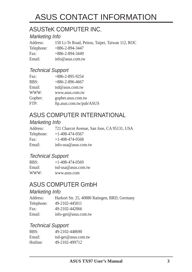# ASUS CONTACT INFORMATION

# ASUSTeK COMPUTER INC.

#### Marketing Info

Address: 150 Li-Te Road, Peitou, Taipei, Taiwan 112, ROC Telephone: +886-2-894-3447 Fax: +886-2-894-3449 Email: info@asus.com.tw

#### Technical Support

| Fax:    | $+886 - 2 - 895 - 9254$  |
|---------|--------------------------|
| BBS:    | $+886 - 2 - 896 - 4667$  |
| Email:  | tsd@asus.com.tw          |
| WWW:    | www.asus.com.tw          |
| Gopher: | gopher.asus.com.tw       |
| FTP:    | ftp.asus.com.tw/pub/ASUS |

# ASUS COMPUTER INTERNATIONAL

#### Marketing Info

| Address:   | 721 Charcot Avenue, San Jose, CA 95131, USA |
|------------|---------------------------------------------|
| Telephone: | $+1-408-474-0567$                           |
| Fax:       | $+1-408-474-0568$                           |
| Email:     | info-usa@asus.com.tw                        |
|            |                                             |

#### Technical Support

| BBS:   | $+1-408-474-0569$      |
|--------|------------------------|
| Email: | $tsd-usa@assus.com.tw$ |
| WWW:   | www.asus.com           |

### ASUS COMPUTER GmbH

#### Marketing Info

| Address:   | Harkort Str. 25, 40880 Ratingen, BRD, Germany |
|------------|-----------------------------------------------|
| Telephone: | 49-2102-445011                                |
| Fax:       | 49-2102-442066                                |
| Email:     | $info\text{-}ger@assus.com.tw$                |

#### Technical Support

| BBS:     | 49-2102-448690      |
|----------|---------------------|
| Email:   | tsd-ger@asus.com.tw |
| Hotline: | 49-2102-499712      |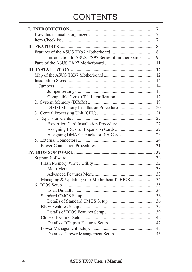# **CONTENTS**

| Introduction to ASUS TX97 Series of motherboards  9 |  |
|-----------------------------------------------------|--|
|                                                     |  |
|                                                     |  |
|                                                     |  |
|                                                     |  |
|                                                     |  |
|                                                     |  |
|                                                     |  |
|                                                     |  |
|                                                     |  |
|                                                     |  |
|                                                     |  |
|                                                     |  |
|                                                     |  |
|                                                     |  |
|                                                     |  |
|                                                     |  |
|                                                     |  |
|                                                     |  |
|                                                     |  |
|                                                     |  |
|                                                     |  |
| Managing & Updating your Motherboard's BIOS  34     |  |
|                                                     |  |
|                                                     |  |
|                                                     |  |
|                                                     |  |
|                                                     |  |
|                                                     |  |
|                                                     |  |
|                                                     |  |
|                                                     |  |
|                                                     |  |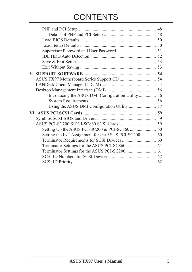# **CONTENTS**

| Setting the INT Assignment for the ASUS PCI-SC200  60 |  |
|-------------------------------------------------------|--|
|                                                       |  |
|                                                       |  |
|                                                       |  |
|                                                       |  |
|                                                       |  |
|                                                       |  |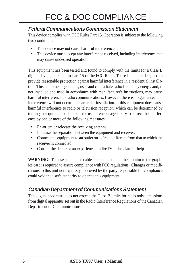### **Federal Communications Commission Statement**

This device complies with FCC Rules Part 15. Operation is subject to the following two conditions:

- This device may not cause harmful interference, and
- This device must accept any interference received, including interference that may cause undesired operation.

This equipment has been tested and found to comply with the limits for a Class B digital device, pursuant to Part 15 of the FCC Rules. These limits are designed to provide reasonable protection against harmful interference in a residential installation. This equipment generates, uses and can radiate radio frequency energy and, if not installed and used in accordance with manufacturer's instructions, may cause harmful interference to radio communications. However, there is no guarantee that interference will not occur in a particular installation. If this equipment does cause harmful interference to radio or television reception, which can be determined by turning the equipment off and on, the user is encouraged to try to correct the interference by one or more of the following measures:

- Re-orient or relocate the receiving antenna.
- Increase the separation between the equipment and receiver.
- Connect the equipment to an outlet on a circuit different from that to which the receiver is connected.
- Consult the dealer or an experienced radio/TV technician for help.

**WARNING:** The use of shielded cables for connection of the monitor to the graphics card is required to assure compliance with FCC regulations. Changes or modifications to this unit not expressly approved by the party responsible for compliance could void the user's authority to operate this equipment.

#### **Canadian Department of Communications Statement**

This digital apparatus does not exceed the Class B limits for radio noise emissions from digital apparatus set out in the Radio Interference Regulations of the Canadian Department of Communications.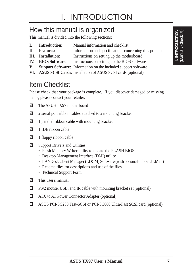# How this manual is organized

This manual is divided into the following sections:

- **I. Introduction:** Manual information and checklist
- **II. Features:** Information and specifications concerning this product
- **III.** Installation: Instructions on setting up the motherboard
- **IV. BIOS Software:** Instructions on setting up the BIOS software
- **V. Support Software:** Information on the included support software
- **VI. ASUS SCSI Cards:** Installation of ASUS SCSI cards (optional)

# Item Checklist

Please check that your package is complete. If you discover damaged or missing items, please contact your retailer.

- $\nabla$  The ASUS TX97 motherboard
- $\boxtimes$  2 serial port ribbon cables attached to a mounting bracket
- $\boxtimes$  1 parallel ribbon cable with mounting bracket
- $\nabla$  1 IDE ribbon cable
- $\boxtimes$  1 floppy ribbon cable
- $\boxtimes$  Support Drivers and Utilities:
	- Flash Memory Writer utility to update the FLASH BIOS
	- Desktop Management Interface (DMI) utility
	- LANDesk Client Manager (LDCM) Software (with optional onboard LM78)
	- Readme files for descriptions and use of the files
	- Technical Support Form
- $\nabla$  This user's manual
- $\square$  PS/2 mouse, USB, and IR cable with mounting bracket set (optional)
- $\Box$  ATX to AT Power Connector Adapter (optional)
- □ ASUS PCI-SC200 Fast-SCSI or PCI-SC860 Ultra-Fast SCSI card (optional)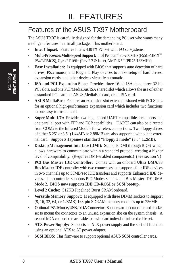# Features of the ASUS TX97 Motherboard

The ASUS TX97 is carefully designed for the demanding PC user who wants many intelligent features in a small package. This motherboard:

- **Intel Chipset:** Features Intel's 430TX PCIset with I/O subsystems.
- **Multi-Processor/Multi-Speed Support:** Intel Pentium® 75-200MHz (P55C-MMX™, P54C/P54CS), Cyrix® P166+ (Rev 2.7 & later), AMD-K5™ (PR75-133MHz).
- **Easy Installation:** Is equipped with BIOS that supports auto detection of hard drives, PS/2 mouse, and Plug and Play devices to make setup of hard drives, expansion cards, and other devices virtually automatic.
- **ISA and PCI Expansion Slots:** Provides three 16-bit ISA slots, three 32-bit PCI slots, and one PCI/MediaBus/ISA shared slot which allows the use of either a standard PCI card, an ASUS MediaBus card, or an ISA card.
- **ASUS MediaBus:** Features an expansion slot extension shared with PCI Slot 4 for an optional high-performance expansion card which includes two functions in one easy-to-install card.
- **Super Multi-I/O:** Provides two high-speed UART compatible serial ports and one parallel port with EPP and ECP capabilities. UART2 can also be directed from COM2 to the Infrared Module for wireless connections. Two floppy drives of either 5.25" or 3.5" (1.44MB or 2.88MB) are also supported without an external card. **Supports Japanese standard "Floppy 3 mode" (3.5" 1.2MB).**
- **Desktop Management Interface (DMI):** Supports DMI through BIOS which allows hardware to communicate within a standard protocol creating a higher level of compatibility. (Requires DMI-enabled components.) (See section V)
- **PCI Bus Master IDE Controller:** Comes with an onboard **Ultra DMA/33 Bus Master IDE** controller with two connectors that supports four IDE devices in two channels up to 33MB/sec IDE transfers and supports Enhanced IDE devices. This controller supports PIO Modes 3 and 4 and Bus Master IDE DMA Mode 2. **BIOS now supports IDE CD-ROM or SCSI bootup.**
- **Level 2 Cache:** 512KB Pipelined Burst SRAM onboard.
- **Versatile Memory Support:** Is equipped with three DIMM sockets to support (8, 16, 32, 64, or 128MB) 168-pin SDRAM memory modules up to 256MB.
- **Optional PS/2 Mouse, USB, IrDA Connector:** Supports an optional cable and bracket set to mount the connectors to an unused expansion slot on the system chassis. A second IrDA connector is available for a standard individual infrared cable set.
- **ATX Power Supply:** Supports an ATX power supply and the soft-off function using an optional ATX to AT power adapter.
- **SCSI BIOS:** Has firmware to support optional ASUS SCSI controller cards.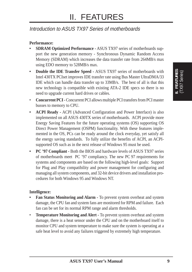#### Introduction to ASUS TX97 Series of motherboards

#### **Performance:**

- **SDRAM Optimized Performance -** ASUS TX97 series of motherboards support the new generation memory - Synchronous Dynamic Random Access Memory (SDRAM) which increases the data transfer rate from 264MB/s max using EDO memory to 528MB/s max.
- **Double the IDE Transfer Speed** ASUS TX97 series of motherboards with Intel 430TX PCIset improves IDE transfer rate using Bus Master UltraDMA/33 IDE which can handle data transfer up to 33MB/s. The best of all is that this new technology is compatible with existing ATA-2 IDE specs so there is no need to upgrade current hard drives or cables.
- **Concurrent PCI -** Concurrent PCI allows multiple PCI transfers from PCI master busses to memory to CPU.
- **ACPI Ready -** ACPI (Advanced Configuration and Power Interface) is also implemented on all ASUS 430TX series of motherboards. ACPI provide more Energy Saving Features for the future operating systems (OS) supporting OS Direct Power Management (OSPM) functionality. With these features implemented in the OS, PCs can be ready around the clock everyday, yet satisfy all the energy saving standards. To fully utilize the benefits of ACPI, an ACPIsupported OS such as in the next release of Windows 95 must be used.
- **PC '97 Compliant** Both the BIOS and hardware levels of ASUS TX97 series of motherboards meet PC '97 compliancy. The new PC 97 requirements for systems and components are based on the following high-level goals: Support for Plug and Play compatibility and power management for configuring and managing all system components, and 32-bit device drivers and installation procedures for both Windows 95 and Windows NT.

#### **Intelligence:**

- **Fan Status Monitoring and Alarm -** To prevent system overheat and system damage, the CPU fan and system fans are monitored for RPM and failure. Each fan can be set for its normal RPM range and alarm thresholds.
- **Temperature Monitoring and Alert -** To prevent system overheat and system damage, there is a heat sensor under the CPU and on the motherboard itself to monitor CPU and system temperature to make sure the system is operating at a safe heat level to avoid any failures triggered by extremely high temperature.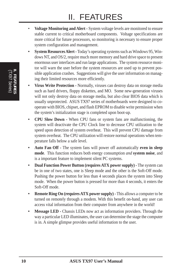- **Voltage Monitoring and Alert -** System voltage levels are monitored to ensure stable current to critical motherboard components. Voltage specifications are more critical for future processors, so monitoring is necessary to ensure proper system configuration and management.
- **System Resources Alert -** Today's operating systems such as Windows 95, Windows NT, and OS/2, require much more memory and hard drive space to present enormous user interfaces and run large applications. The system resource monitor will warn the user before the system resources are used up to prevent possible application crashes. Suggestions will give the user information on managing their limited resources more efficiently.
- **Virus Write Protection -** Normally, viruses can destroy data on storage media such as hard drivers, floppy diskettes, and MO. Some new-generation viruses will not only destroy data on storage media, but also clear BIOS data which is usually unprotected. ASUS TX97 series of motherboards were designed to cooperate with BIOS, chipset, and flash EPROM to disable write permission when the system's initialization stage is completed upon boot-up.
- **CPU Slow Down -** When CPU fans or system fans are malfunctioning, the system will deactivate the CPU Clock line to decrease CPU utilization to the speed upon detection of system overheat. This will prevent CPU damage from system overheat. The CPU utilization will restore normal operations when temperature falls below a safe level.
- **Auto Fan Off -** The system fans will power off automatically **even in sleep mode**. This function reduces both energy consumption *and* **system noise**, and is a important feature to implement silent PC systems.
- **Dual Function Power Button (requires ATX power supply) -** The system can be in one of two states, one is Sleep mode and the other is the Soft-Off mode. Pushing the power button for less than 4 seconds places the system into Sleep mode. When the power button is pressed for more than 4 seconds, it enters the Soft-Off mode.
- **Remote Ring On (requires ATX power supply) -** This allows a computer to be turned on remotely through a modem. With this benefit on-hand, any user can access vital information from their computer from anywhere in the world!
- **Message LED -** Chassis LEDs now act as information providers. Through the way a particular LED illuminates, the user can determine the stage the computer is in. A simple glimpse provides useful information to the user.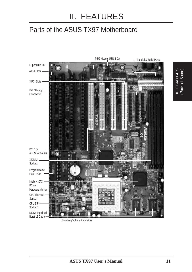# Parts of the ASUS TX97 Motherboard



Switching Voltage Regulators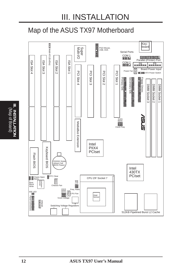# Map of the ASUS TX97 Motherboard



**III. INSTALLATION** l. INSTALLATIC<br>(Map of Board) (Map of Board)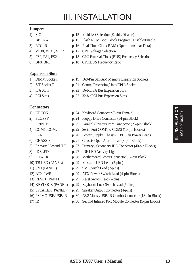# III. INSTALLATION

#### **Jumpers**

- 
- 
- 
- 
- 
- 

#### **Expansion Slots**

- 
- 
- 
- 

#### **Connectors**

- 
- 
- 
- 
- 
- 
- 
- 
- 
- 
- 
- 
- 
- 
- 
- 
- 
- 1) SIO p. 15 Multi-I/O Selection (Enable/Disable)
- 2) BBLKW p. 15 Flash ROM Boot Block Program (Disable/Enable)
- 3) RTCLR p. 16 Real Time Clock RAM (Operation/Clear Data)
- 4) VID0, VID1, VID2 p. 17 CPU Voltage Selection
- 5) FS0, FS1, FS2 p. 18 CPU External Clock (BUS) Frequency Selection
- 6) BF0, BF1 p. 18 CPU:BUS Frequency Ratio
- 1) DIMM Sockets p. 19 168-Pin SDRAM Memory Expansion Sockets
- 2) ZIF Socket 7 p. 21 Central Processing Unit (CPU) Socket
- 3) ISA Slots p. 22 16-bit ISA Bus Expansion Slots
- 4) PCI Slots p. 22 32-bit PCI Bus Expansion Slots
- 1) KBCON p. 24 Keyboard Connector (5-pin Female)
- 2) FLOPPY p. 24 Floppy Drive Connector (34-pin Block)
- 3) PRINTER p. 25 Parallel (Printer) Port Connector (26-pin Block)
- 4) COM1, COM2 p. 25 Serial Port COM1 & COM2 (10-pin Blocks)
- 5) FAN p. 26 Power Supply, Chassis, CPU Fan Power Leads
- 6) CHASSIS p. 26 Chassis Open Alarm Lead (3-pin Block)
- 7) Primary / Second IDE p. 27 Primary / Secondary IDE Connector (40-pin Blocks)
- 8) IDELED p. 27 IDE LED Activity Light
- 9) POWER p. 28 Motherboard Power Connector (12-pin Block)
- 10) TB LED (PANEL) p. 29 Message LED Lead (2-pins)
- 11) SMI (PANEL) p. 29 SMI Switch Lead (2-pins)
- 12) ATX PWR p. 29 ATX Power Switch Lead (4-pin Block)
- 13) RESET (PANEL) p. 29 Reset Switch Lead (2-pins)
- 14) KEYLOCK (PANEL) p. 29 Keyboard Lock Switch Lead (5-pins)
- 15) SPEAKER (PANEL) p. 29 Speaker Output Connector (4-pins)
- 16) PS2MOUSE/USB/IR p. 30 PS/2 Mouse/USB/IR Combo-Connector (18-pin Block)
- 17) IR p. 30 Second Infrared Port Module Connector (5-pin Block)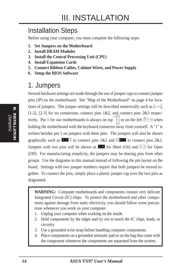# Installation Steps

Before using your computer, you must complete the following steps:

- **1. Set Jumpers on the Motherboard**
- **2. Install DRAM Modules**
- **3. Install the Central Processing Unit (CPU)**
- **4. Install Expansion Cards**
- **5. Connect Ribbon Cables, Cabinet Wires, and Power Supply**
- **6. Setup the BIOS Software**

# 1. Jumpers

Several hardware settings are made through the use of jumper caps to connect jumper pins (JP) on the motherboard. See "Map of the Motherboard" on page 4 for locations of jumpers. The jumper settings will be described numerically such as [----], [1-2], [2-3] for no connection, connect pins  $1&2$ , and connect pins  $2&3$  respectively. Pin 1 for our motherboards is always on top  $\int_{0}^{\frac{p_{in} + 1}{n}}$  or on the left  $\frac{p_{in} - 1}{n}$  when holding the motherboard with the keyboard connector away from yourself. A "1" is written besides pin 1 on jumpers with three pins. The jumpers will also be shown graphically such as  $\bullet \bullet \bullet$  to connect pins  $1\&2$  and  $\bullet \bullet \bullet$  to connect pins 2&3. Jumpers with two pins will be shown as  $\blacksquare$  for Short (On) and  $\blacksquare$  for Open (Off). For manufacturing simplicity, the jumpers may be sharing pins from other groups. Use the diagrams in this manual instead of following the pin layout on the board. Settings with two jumper numbers require that both jumpers be moved together. To connect the pins, simply place a plastic jumper cap over the two pins as diagramed.

**WARNING:** Computer motheboards and components contain very delicate Integrated Circuit (IC) chips. To protect the motherboard and other components against damage from static electricity, you should follow some precautions whenever you work on your computer.

- 1. Unplug your computer when working on the inside.
- 2. Hold components by the edges and try not to touch the IC chips, leads, or circuitry.
- 3. Use a grounded wrist strap before handling computer components.
- 4. Place components on a grounded antistatic pad or on the bag that came with the component whenever the components are separated from the system.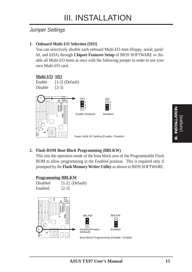#### Jumper Settings

#### **1. Onboard Multi-I/O Selection (SIO)**

You can selectively disable each onboard Multi-I/O item (floppy, serial, parallel, and IrDA) through **Chipset Features Setup** of BIOS SOFTWARE *or* disable all Multi-I/O items at once with the following jumper in order to use your own Multi-I/O card.

#### **Multi-I/O SIO**

Enable [1-2] (Default) Disable [2-3]



#### **2. Flash ROM Boot Block Programming (BBLKW)**

This sets the operation mode of the boot block area of the Programmable Flash ROM to allow programming in the *Enabled* position. This is required only if prompted by the **Flash Memory Writer Utility** as shown in BIOS SOFTWARE.

#### **Programming BBLKW**

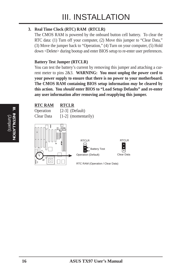#### **3. Real Time Clock (RTC) RAM (RTCLR)**

The CMOS RAM is powered by the onboard button cell battery. To clear the RTC data: (1) Turn off your computer, (2) Move this jumper to "Clear Data," (3) Move the jumper back to "Operation," (4) Turn on your computer, (5) Hold down <Delete> during bootup and enter BIOS setup to re-enter user preferences.

#### **Battery Test Jumper (RTCLR)**

You can test the battery's current by removing this jumper and attaching a current meter to pins 2&3. **WARNING: You must unplug the power cord to your power supply to ensure that there is no power to your motherboard. The CMOS RAM containing BIOS setup information** *may* **be cleared by this action. You** *should* **enter BIOS to "Load Setup Defaults" and re-enter any user information after removing and reapplying this jumper.**

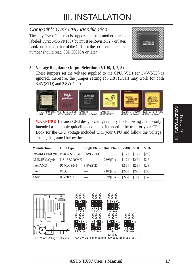# III. INSTALLATION

### Compatible Cyrix CPU Identification

The only Cyrix CPU that is supported on this motherboard is labeled Cyrix 6x86 PR166+ but must be Revision 2.7 or later. Look on the underside of the CPU for the serial number. The number should read G8DC6620A or later.



#### **5. Voltage Regulator Output Selection (VID0, 1, 2, 3)**

These jumpers set the voltage supplied to the CPU. VID1 for 3.4V(STD) is ignored, therefore, the jumper setting for 2.8V(Dual) may work for both 3.4V(STD) and 2.8V(Dual).



WARNING! Because CPU designs change rapidly, the following chart is only intended as a simple quideline and is not intended to be true for your CPU. Look for the CPU voltage included with your CPU and follow the Voltage setting diagramed below the chart.

| <b>Manufacturer</b>                              | <b>CPU Type</b>                   | Single Plane Dual Plane VID0 VID1 VID2 |                                                                            |                                                             |  |
|--------------------------------------------------|-----------------------------------|----------------------------------------|----------------------------------------------------------------------------|-------------------------------------------------------------|--|
| Intel/AMD/IBM/Cyrix P54C/CS/K5/M1 3.5V(VRE) ---- |                                   |                                        |                                                                            | $[1-2]$ $[1-2]$ $[2-3]$                                     |  |
| $AMD/IBM/Cyrix$ K6-166,200/MX ----               |                                   |                                        | 2.9V(Dual) $[1-2]$ $[2-3]$ $[2-3]$                                         |                                                             |  |
| Intel/AMD                                        | $P54C/CS/K5$ 3.4V(STD) ----       |                                        |                                                                            | $\lceil 2-3 \rceil$ $\lceil 2-3 \rceil$ $\lceil 2-3 \rceil$ |  |
| Intel                                            | <b>P55C</b>                       |                                        | 2.8V(Dual) $[2-3]$ $[2-3]$ $[2-3]$                                         |                                                             |  |
| AMD                                              | K <sub>6</sub> -PR <sub>233</sub> |                                        | 3.2V(Dual) [2-3] $\lceil \frac{\text{VID1:3}}{\text{VID2:3}} \rceil$ [1-2] |                                                             |  |



1 2 3

1 2 3

3.5 Volts

 $\leq$ VID1  $\lesssim$ 

> 1 2 3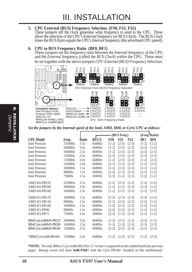#### **5. CPU External (BUS) Frequency Selection (FS0, FS1, FS2)**

These jumpers tell the clock generator what frequency to send to the CPU. These allow the selection of the CPU's *External* frequency (or *BUS Clock*). The BUS Clock times the BUS Ratio equals the CPU's *Internal* frequency (the advertised CPU speed).

#### **6. CPU to BUS Frequency Ratio (BF0, BF1)**

These jumpers set the frequency ratio between the *Internal* frequency of the CPU and the *External* frequency (called the *BUS Clock*) within the CPU. These must be set together with the above jumpers *CPU External (BUS) Frequency Selection.*



*Set the jumpers by the Internal speed of the Intel, AMD, IBM, or Cyrix CPU as follows:*

|                        |        |              |               |                 | (BUS Freq.) |                 |         | (Freq.'Ratio) |
|------------------------|--------|--------------|---------------|-----------------|-------------|-----------------|---------|---------------|
| <b>CPU Model</b>       | Freq.  | <b>Ratio</b> | <b>BUS F.</b> | FS <sub>0</sub> | FS1         | FS <sub>2</sub> | BF1     | <b>BF0</b>    |
| Intel Pentium          | 233MHz | 3.5x         | 66MHz         | $[1-2]$         | $[2-3]$     | $[2-3]$         | $[1-2]$ | $[1-2]$       |
| <b>Intel Pentium</b>   | 200MHz | 3.0x         | 66MHz         | $[1-2]$         | $[2-3]$     | $[2-3]$         | $[2-3]$ | $[1-2]$       |
| <b>Intel Pentium</b>   | 166MHz | 2.5x         | 66MHz         | $[1-2]$         | $[2-3]$     | $[2-3]$         | $[2-3]$ | $[2-3]$       |
| <b>Intel Pentium</b>   | 150MHz | 2.5x         | 60MHz         | $[2-3]$         | $[2-3]$     | $[2-3]$         | $[2-3]$ | $[2-3]$       |
| <b>Intel Pentium</b>   | 133MHz | 2.0x         | 66MHz         | $[1-2]$         | $[2-3]$     | $[2-3]$         | $[1-2]$ | $[2-3]$       |
| <b>Intel Pentium</b>   | 120MHz | 2.0x         | 60MHz         | $[2-3]$         | $[2-3]$     | $[2-3]$         | $[1-2]$ | $[2-3]$       |
| <b>Intel Pentium</b>   | 100MHz | 1.5x         | 66MHz         | $[1-2]$         | $[2-3]$     | $[2-3]$         | $[1-2]$ | $[1-2]$       |
| <b>Intel Pentium</b>   | 90MHz  | 1.5x         | 60MHz         | $[2-3]$         | $[2-3]$     | $[2-3]$         | $[1-2]$ | $[1-2]$       |
| <b>Intel Pentium</b>   | 75MHz  | 1.5x         | 50MHz         | $[2-3]$         | $[1-2]$     | $[2-3]$         | $[1-2]$ | $[1-2]$       |
| AMD-K6-PR233           | 233MHz | 3.5x         | 66MHz         | $[1-2]$         | $[2-3]$     | $[2-3]$         | $[1-2]$ | $[1-2]$       |
| AMD-K6-PR200           | 200MHz | 3.0x         | 66MHz         | $[1-2]$         | $[2-3]$     | $[2-3]$         | $[2-3]$ | $[1-2]$       |
| AMD-K6-PR166           | 166MHz | 2.5x         | 66MHz         | $[1-2]$         | $[2-3]$     | $[2-3]$         | $[2-3]$ | $[2-3]$       |
| AMD-K5-PR133           | 100MHz | 1.5x         | 66MHz         | $[1-2]$         | $[2-3]$     | $[2-3]$         | $[1-2]$ | $[1-2]$       |
| AMD-K5-PR120           | 90MHz  | 1.5x         | 60MHz         | $[2-3]$         | $[2-3]$     | $[2-3]$         | $[1-2]$ | $[1-2]$       |
| AMD-K5-PR100           | 100MHz | 1.5x         | 66MHz         | $[1-2]$         | $[2-3]$     | $[2-3]$         | $[1-2]$ | $[1-2]$       |
| AMD-K5-PR90            | 90MHz  | 1.5x         | 60MHz         | $[2-3]$         | $[2-3]$     | $[2-3]$         | $[1-2]$ | $[1-2]$       |
| AMD-K5-PR75            | 75MHz  | 1.5x         | 50MHz         | $[2-3]$         | $[1-2]$     | $[2-3]$         | $[1-2]$ | $[1-2]$       |
| IBM/Cyrix 6x86MX-PR233 | 200MHz | 3.0x         | 66MHz         | $[1-2]$         | $[2-3]$     | $[2-3]$         | $[2-3]$ | $[1-2]$       |
| IBM/Cyrix 6x86MX-PR200 | 166MHz | 2.5x         | 66MHz         | $[1-2]$         | $[2-3]$     | $[2-3]$         | $[2-3]$ | $[2-3]$       |
| IBM/Cyrix 6x86MX-PR166 | 150MHz | 2.5x         | 60MHz         | $[2-3]$         | $[2-3]$     | $[2-3]$         | $[2-3]$ | $[2-3]$       |
| *IBM/Cyrix 6x86-PR166+ | 133MHz | 2.0x         | 66MHz         | $[1-2]$         | $[2-3]$     | $[2-3]$         | $[1-2]$ | $[2-3]$       |

**\*NOTE:** The only IBM or Cyrix 6x86 (M1) Rev 2.7 or later is supported on this motherboard (see previous page). Bootup screen will show **6x86-P166+** with the Cyrix PR166+ installed on this motherboard.

I. INSTALLAI **III. INSTALLATION**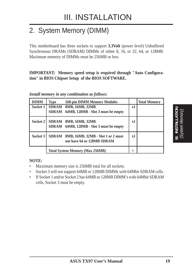# 2. System Memory (DIMM)

This motherboard has three sockets to support **3.3Volt** (power level) Unbuffered Synchronous DRAMs (SDRAM) DIMMs of either 8, 16, or 32, 64, or 128MB. Maximum memory of DIMMs must be 256MB or less.

#### **IMPORTANT: Memory speed setup is required through "Auto Configuration" in BIOS Chipset Setup of the BIOS SOFTWARE.**

*Install memory in any combination as follows:*

| <b>DIMM</b> | <b>Type</b>  | <b>168-pin DIMM Memory Modules</b>                                           |    | <b>Total Memory</b> |
|-------------|--------------|------------------------------------------------------------------------------|----|---------------------|
| Socket 1    |              | SDRAM 8MB, 16MB, 32MB<br>SDRAM 64MB, 128MB - Slot 3 must be empty            | x1 |                     |
|             |              | Socket 2   SDRAM 8MB, 16MB, 32MB<br>SDRAM 64MB, 128MB - Slot 3 must be empty | x1 |                     |
| Socket 3    | <b>SDRAM</b> | 8MB, 16MB, 32MB - Slot 1 or 2 must<br>not have 64 or 128MB SDRAM             | x1 |                     |
|             |              | <b>Total System Memory (Max 256MB)</b>                                       |    |                     |

#### **NOTE:**

- Maximum memory size is 256MB total for all sockets.
- Socket 3 will not support 64MB or 128MB DIMMs with 64Mbit SDRAM cells.
- If Socket 1 and/or Socket 2 has 64MB or 128MB DIMM's with 64Mbit SDRAM cells, Socket 3 must be empty.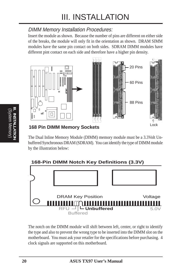### DIMM Memory Installation Procedures:

Insert the module as shown. Because the number of pins are different on either side of the breaks, the module will only fit in the orientation as shown. DRAM SIMM modules have the same pin contact on both sides. SDRAM DIMM modules have different pint contact on each side and therefore have a higher pin density.



### **168 Pin DIMM Memory Sockets** Lock

The Dual Inline Memory Module (DIMM) memory module must be a 3.3Volt Unbuffered Synchronous DRAM (SDRAM). You can identify the type of DIMM module by the illustration below:

#### **168-Pin DIMM Notch Key Definitions (3.3V)**



The notch on the DIMM module will shift between left, center, or right to identify the type and also to prevent the wrong type to be inserted into the DIMM slot on the motherboard. You must ask your retailer for the specifications before purchasing. 4 clock signals are supported on this motherboard.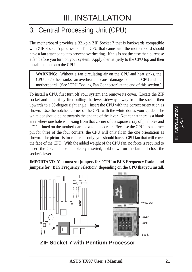# 3. Central Processing Unit (CPU)

The motherboard provides a 321-pin ZIF Socket 7 that is backwards compatible with ZIF Socket 5 processors. The CPU that came with the motherboard should have a fan attached to it to prevent overheating. If this is not the case then purchase a fan before you turn on your system. Apply thermal jelly to the CPU top and then install the fan onto the CPU.

**WARNING:** Without a fan circulating air on the CPU and heat sinks, the CPU and/or heat sinks can overheat and cause damage to both the CPU and the motherboard. (See "CPU Cooling Fan Connector" at the end of this section.)

To install a CPU, first turn off your system and remove its cover. Locate the ZIF socket and open it by first pulling the lever sideways away from the socket then upwards to a 90-degree right angle. Insert the CPU with the correct orientation as shown. Use the notched corner of the CPU with the white dot as your guide. The white dot should point towards the end the of the lever. Notice that there is a blank area where one hole is missing from that corner of the square array of pin holes and a "1" printed on the motherboard next to that corner. Because the CPU has a corner pin for three of the four corners, the CPU will only fit in the one orientation as shown. The picture is for reference only; you should have a CPU fan that will cover the face of the CPU. With the added weight of the CPU fan, no force is required to insert the CPU. Once completely inserted, hold down on the fan and close the socket's lever.

**IMPORTANT: You must set jumpers for "CPU to BUS Frequency Ratio" and jumpers for "BUS Frequency Selection" depending on the CPU that you install.**



**ZIF Socket 7 with Pentium Processor**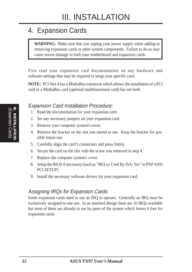# 4. Expansion Cards

**WARNING:** Make sure that you unplug your power supply when adding or removing expansion cards or other system components. Failure to do so may cause severe damage to both your motherboard and expansion cards.

First read your expansion card documentation on any hardware and software settings that may be required to setup your specific card.

**NOTE:** PCI Slot 4 has a MediaBus extension which allows the installation of a PCI card or a MediaBus card (optional multifunctional card) but not both.

#### Expansion Card Installation Procedure:

- 1. Read the documentation for your expansion card.
- 2. Set any necessary jumpers on your expansion card.
- 3. Remove your computer system's cover.
- 4. Remove the bracket on the slot you intend to use. Keep the bracket for possible future use.
- 5. Carefully align the card's connectors and press firmly.
- 6. Secure the card on the slot with the screw you removed in step 4.
- 7. Replace the computer system's cover.
- 8. Setup the BIOS if necessary (such as "IRQ xx Used By ISA: Yes" in PNP AND PCI SETUP)
- 9. Install the necessary software drivers for your expansion card.

#### Assigning IRQs for Expansion Cards

Some expansion cards need to use an IRQ to operate. Generally an IRQ must be exclusively assigned to one use. In an standard design there are 16 IRQs available but most of them are already in use by parts of the system which leaves 6 free for expansion cards.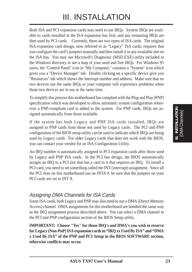# III. INSTALLATION

Both ISA and PCI expansion cards may need to use IRQs. System IRQs are available to cards installed in the ISA expansion bus first, and any remaining IRQs are then used by PCI cards. Currently, there are two types of ISA cards. The original ISA expansion card design, now referred to as "Legacy" ISA cards, requires that you configure the card's jumpers manually and then install it in any available slot on the ISA bus. You may use Microsoft's Diagnostic (MSD.EXE) utility included in the Windows directory to see a map of your used and free IRQs. For Windows 95 users, the "Control Panel" icon in "My Computer," contains a "System" icon which gives you a "Device Manager" tab. Double clicking on a specific device give you "Resources" tab which shows the Interrupt number and address. Make sure that no two devices use the same IRQs or your computer will experience problems when those two devices are in use at the same time.

To simplify this process this motherboard has complied with the Plug and Play (PNP) specification which was developed to allow automatic system configuration whenever a PNP-compliant card is added to the system. For PNP cards, IRQs are assigned automatically from those available.

If the system has both Legacy and PNP ISA cards installed, IRQs are assigned to PNP cards from those not used by Legacy cards. The PCI and PNP configuration of the BIOS setup utility can be used to indicate which IRQs are being used by Legacy cards. For older Legacy cards that does not work with the BIOS, you can contact your vendor for an ISA Configuration Utility.

An IRQ number is automatically assigned to PCI expansion cards after those used by Legacy and PNP ISA cards. In the PCI bus design, the BIOS automatically assigns an IRQ to a PCI slot that has a card in it that requires an IRQ. To install a PCI card, you need to set something called the INT (interrupt) assignment. Since all the PCI slots on this motherboard use an INTA #, be sure that the jumpers on your PCI cards are set to INT A.

#### Assigning DMA Channels for ISA Cards

Some ISA cards, both Legacy and PNP may also need to use a DMA (Direct Memory Access) channel. DMA assignments for this motherboard are handled the same way as the IRQ assignment process described above. You can select a DMA channel in the PCI and PNP configuration section of the BIOS Setup utility.

**IMPORTANT: Choose "Yes" for those IRQ's and DMA's you wish to reserve for Legacy (Non-PnP) ISA expansion cards in "IRQ xx Used By ISA" and "DMA x Used By ISA" of the PNP and PCI Setup in the BIOS SOFTWARE section, otherwise conflicts may occur.**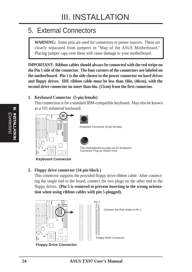# 5. External Connectors

**WARNING:** Some pins are used for connectors or power sources. These are clearly separated from jumpers in "Map of the ASUS Motherboard." Placing jumper caps over these will cause damage to your motherboard.

**IMPORTANT: Ribbon cables should always be connected with the red stripe on the Pin 1 side of the connector. The four corners of the connectors are labeled on the motherboard. Pin 1 is the side closest to the power connector on hard drives and floppy drives. IDE ribbon cable must be less than 18in. (46cm), with the second drive connector no more than 6in. (15cm) from the first connector.**

#### **1. Keyboard Connector (5-pin female)**

This connection is for a standard IBM-compatible keyboard. May also be known as a 101 enhanced keyboard.





Keyboard Connector (5-pin female)



This motherboard accepts an AT Keyboard Connector Plug as shown here.

**Keyboard Connector**

#### **2. Floppy drive connector (34-pin block )**

This connector supports the provided floppy drive ribbon cable. After connecting the single end to the board, connect the two plugs on the other end to the floppy drives. **(Pin 5 is removed to prevent inserting in the wrong orientation when using ribbon cables with pin 5 plugged).**



(Connectors) **III. INSTALLATION**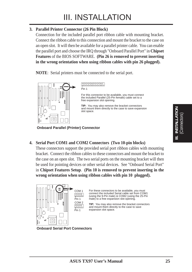#### **3. Parallel Printer Connector (26 Pin Block)**

Connection for the included parallel port ribbon cable with mounting bracket. Connect the ribbon cable to this connection and mount the bracket to the case on an open slot. It will then be available for a parallel printer cable. You can enable the parallel port and choose the IRQ through "Onboard Parallel Port" in **Chipset Features** of the BIOS SOFTWARE. **(Pin 26 is removed to prevent inserting in the wrong orientation when using ribbon cables with pin 26 plugged).**

**NOTE**: Serial printers must be connected to the serial port.



**ANIMARIA** Pin 1

For this connector to be available, you must connect the included Parallel (25-Pin female) cable set to a free expansion slot opening.

**TIP:** You may also remove the bracket connectors and mount them directly to the case to save expansion slot space.

**Onboard Parallel (Printer) Connector**

#### **4. Serial Port COM1 and COM2 Connectors (Two 10-pin blocks)**

These connectors support the provided serial port ribbon cables with mounting bracket. Connect the ribbon cables to these connectors and mount the bracket to the case on an open slot. The two serial ports on the mounting bracket will then be used for pointing devices or other serial devices. See "Onboard Serial Port" in **Chipset Features Setup**. **(Pin 10 is removed to prevent inserting in the wrong orientation when using ribbon cables with pin 10 plugged).**



For these connectors to be available, you must connect the included Serial cable set from COM1 (using the 9-Pin male) & COM2 (using the 25-Pin male) to a free expansion slot opening.

**TIP:** You may also remove the bracket connectors and mount them directly to the case to save expansion slot space.

**Onboard Serial Port Connectors**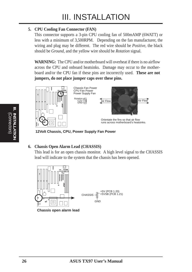#### **5. CPU Cooling Fan Connector (FAN)**

This connector supports a 3-pin CPU cooling fan of 500mAMP (6WATT) or less with a minimum of 3,500RPM. Depending on the fan manufacturer, the wiring and plug may be different. The red wire should be *Positive*, the black should be *Ground*, and the yellow wire should be *Rotation* signal.

**WARNING:** The CPU and/or motherboard will overheat if there is no airflow across the CPU and onboard heatsinks. Damage may occur to the motherboard and/or the CPU fan if these pins are incorrectly used. **These are not jumpers, do not place jumper caps over these pins.**





**12Volt Chassis, CPU, Power Supply Fan Power**

#### **6. Chassis Open Alarm Lead (CHASSIS)**

This lead is for an open chassis monitor. A high level signal to the CHASSIS lead will indicate to the system that the chassis has been opened.



**Chassis open alarm lead**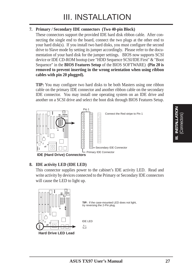#### **7. Primary / Secondary IDE connectors (Two 40-pin Block)**

These connectors support the provided IDE hard disk ribbon cable. After connecting the single end to the board, connect the two plugs at the other end to your hard disk(s). If you install two hard disks, you must configure the second drive to Slave mode by setting its jumper accordingly. Please refer to the documentation of your hard disk for the jumper settings. BIOS now supports SCSI device or IDE CD-ROM bootup (see "HDD Sequence SCSI/IDE First" & "Boot Sequence" in the **BIOS Features Setup** of the BIOS SOFTWARE) **(Pin 20 is removed to prevent inserting in the wrong orientation when using ribbon cables with pin 20 plugged).**

**TIP:** You may configure two hard disks to be both Masters using one ribbon cable on the primary IDE connector and another ribbon cable on the secondary IDE connector. You may install one operating system on an IDE drive and another on a SCSI drive and select the boot disk through BIOS Features Setup.



#### **8. IDE activity LED (IDE LED)**

This connector supplies power to the cabinet's IDE activity LED. Read and write activity by devices connected to the Primary or Secondary IDE connectors will cause the LED to light up.



**TIP:** If the case-mounted LED does not light, try reversing the 2-Pin plug.

IDE LED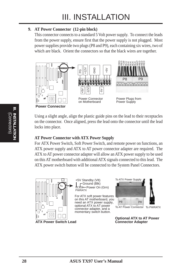#### **9. AT Power Connector (12-pin block)**

This connector connects to a standard 5 Volt power supply. To connect the leads from the power supply, ensure first that the power supply is not plugged. Most power supplies provide two plugs (P8 and P9), each containing six wires, two of which are black. Orient the connectors so that the black wires are together.



Using a slight angle, align the plastic guide pins on the lead to their receptacles on the connector. Once aligned, press the lead onto the connector until the lead locks into place.

#### **AT Power Connector with ATX Power Supply**

For ATX Power Switch, Soft Power Switch, and remote power on functions, an ATX power supply and ATX to AT power connector adapter are required. The ATX to AT power connector adapter will allow an ATX power supply to be used on this AT motherboard with additional ATX signals connected to this lead. The ATX power switch button will be connected to the System Panel Connectors.

+5V Standby (Vlt)

PWRATX

Power On (Grn) Ground (Blk)



**ATX Power Switch Lead**

For ATX soft power features on this AT motherboard, you need an ATX power supply, optional ATX to AT power To ATX Power Supply P9 P8

To AT Power Connector To PWRATX

**Optional ATX to AT Power Connector Adapter**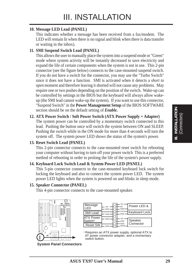#### **10. Message LED Lead (PANEL)**

This indicates whether a message has been received from a fax/modem. The LED will remain lit when there is no signal and blink when there is data transfer or waiting in the inbox).

#### **11. SMI Suspend Switch Lead (PANEL)**

This allows the user to manually place the system into a suspend mode or "Green" mode where system activity will be instantly decreased to save electricity and expand the life of certain components when the system is not in use. This 2-pin connector (see the figure below) connects to the case-mounted suspend switch. If you do not have a switch for the connector, you may use the "Turbo Switch" since it does not have a function. SMI is activated when it detects a *short to open* moment and therefore leaving it shorted will not cause any problems. May require one or two pushes depending on the position of the switch. Wake-up can be controlled by settings in the BIOS but the keyboard will always allow wakeup (the SMI lead cannot wake-up the system). If you want to use this connector, "Suspend Switch" in the **Power Management Setup** of the BIOS SOFTWARE section should be on the default setting of *Enable.*

#### **12. ATX Power Switch / Soft Power Switch (ATX Power Supply + Adapter)**

The system power can be controlled by a momentary switch connected to this lead. Pushing the button once will switch the system between ON and SLEEP. Pushing the switch while in the ON mode for more than 4 seconds will turn the system off. The system power LED shows the status of the system's power.

#### **13. Reset Switch Lead (PANEL)**

This 2-pin connector connects to the case-mounted reset switch for rebooting your computer without having to turn off your power switch This is a preferred method of rebooting in order to prolong the life of the system's power supply.

#### **14. Keyboard Lock Switch Lead & System Power LED (PANEL)**

This 5-pin connector connects to the case-mounted keyboard lock switch for locking the keyboard and also to connect the system power LED. The system power LED lights when the system is powered on and blinks in sleep mode.

#### **15. Speaker Connector (PANEL)**

This 4-pin connector connects to the case-mounted speaker.







Requires an ATX power supply, optional ATX to AT power connector adapter, and a momentary switch button.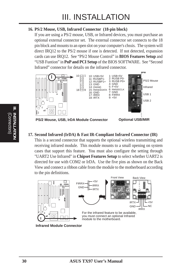#### **16. PS/2 Mouse, USB, Infrared Connector (18-pin block)**

If you are using a PS/2 mouse, USB, or Infrared devices, you must purchase an optional external connector set. The external connector set connects to the 18 pin block and mounts to an open slot on your computer's chssis. The system will direct IRQ12 to the PS/2 mouse if one is detected. If not detected, expansion cards can use IRQ12. See "PS/2 Mouse Control" in **BIOS Features Setup** and "USB Funtion" in **PnP and PCI Setup** of the BIOS SOFTWARE. See "Second Infrared" connector for details on the infrared connector.



**PS/2 Mouse, USB, IrDA Module Connector**

### **17. Second Infrared (IrDA) & Fast IR-Compliant Infrared Connector (IR)**

This is a second connector that supports the optional wireless transmitting and receiving infrared module. This module mounts to a small opening on system cases that support this feature. You must also configure the setting through "UART2 Use Infrared" in **Chipset Features Setup** to select whether UART2 is directed for use with COM2 or IrDA. Use the five pins as shown on the Back View and connect a ribbon cable from the module to the motherboard according to the pin definitions.



**Infrared Module Connector**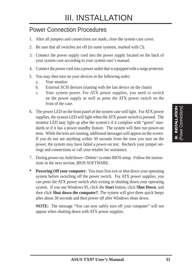### Power Connection Procedures

- 1. After all jumpers and connections are made, close the system case cover.
- 2. Be sure that all switches are off (in some systems, marked with  $\bigcirc$ ).
- 3. Connect the power supply cord into the power supply located on the back of your system case according to your system user's manual.
- 4. Connect the power cord into a power outlet that is equipped with a surge protector.
- 5. You may then turn on your devices in the following order:
	- a. Your monitor
	- b. External SCSI devices (starting with the last device on the chain)
	- c. Your system power. For ATX power supplies, you need to switch on the power supply as well as press the ATX power switch on the front of the case.
- 6. The power LED on the front panel of the system case will light. For ATX power supplies, the system LED will light when the ATX power switch is pressed. The monitor LED may light up after the system's if it complies with "green" standards or if it has a power standby feature. The system will then run power-on tests. While the tests are running, additional messages will appear on the screen. If you do not see anything within 30 seconds from the time you turn on the power, the system may have failed a power-on test. Recheck your jumper settings and connections or call your retailer for assistance.
- 7. During power-on, hold down <Delete> to enter BIOS setup. Follow the instructions in the next section, BIOS SOFTWARE.
- **\* Powering Off your computer:** You must first exit or shut down your operating system before switching off the power switch. For ATX power supplies, you can press the ATX power switch after exiting or shutting down your operating system. If you use Windows 95, click the **Start** button, click **Shut Down**, and then click **Shut down the computer?**. The system will give three quick beeps after about 30 seconds and then power off after Windows shuts down.

**NOTE:** The message "You can now safely turn off your computer" will not appear when shutting down with ATX power supplies.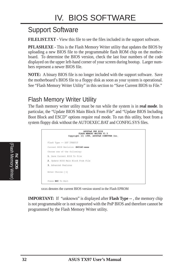# Support Software

**FILELIST.TXT -** View this file to see the files included in the support software.

**PFLASH.EXE -** This is the Flash Memory Writer utility that updates the BIOS by uploading a new BIOS file to the programmable flash ROM chip on the motherboard. To determine the BIOS version, check the last four numbers of the code displayed on the upper left-hand corner of your screen during bootup. Larger numbers represent a newer BIOS file.

**NOTE:** A binary BIOS file is no longer included with the support software. Save the motherboard's BIOS file to a floppy disk as soon as your system is operational. See "Flash Memory Writer Utility" in this section to "Save Current BIOS to File."

# Flash Memory Writer Utility

The flash memory writer utility must be run while the system is in **real mode**. In particular, the "Update BIOS Main Block From File" and "Update BIOS Including Boot Block and ESCD" options require real mode. To run this utility, boot from a system floppy disk without the AUTOEXEC.BAT and CONFIG.SYS files.

| <b>ASUSTeK PNP BIOS</b><br>FLASH MEMORY WRITER V1.5<br>Copyright (C) 1995, ASUSTeK COMPUTER Inc. |
|--------------------------------------------------------------------------------------------------|
| Flash Type -- SST 29EE010                                                                        |
| Current BIOS Revision: #401A0-xxxx                                                               |
| Choose one of the following:                                                                     |
| 1. Save Current BIOS To File                                                                     |
| 2. Update BIOS Main Block From File                                                              |
| 3. Advanced Features                                                                             |
| Enter Choice: [1]                                                                                |
| Press ESC To Exit                                                                                |

xxxx denotes the current BIOS version stored in the Flash EPROM

**IMPORTANT:** If "unknown" is displayed after **Flash Type --**, the memory chip is not programmable or is not supported with the PnP BIOS and therefore cannot be programmed by the Flash Memory Writer utility.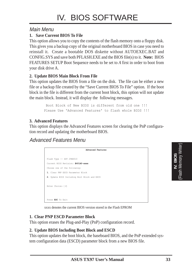#### Main Menu

#### **1. Save Current BIOS To File**

This option allows you to copy the contents of the flash memory onto a floppy disk. This gives you a backup copy of the original motherboard BIOS in case you need to reinstall it. Create a bootable DOS diskette without AUTOEXEC.BAT and CONFIG.SYS and save both PFLASH.EXE and the BIOS file(s) to it. **Note:** BIOS FEATURES SETUP Boot Sequence needs to be set to *A* first in order to boot from your disk drive A.

#### **2. Update BIOS Main Block From File**

This option updates the BIOS from a file on the disk. The file can be either a new file or a backup file created by the "Save Current BIOS To File" option. If the boot block in the file is different from the current boot block, this option will not update the main block. Instead, it will display the following messages.

> Boot Block of New BIOS is different from old one !!! Please Use 'Advanced Features' to flash whole BIOS !!!

#### **3. Advanced Features**

This option displays the Advanced Features screen for clearing the PnP configuration record and updating the motherboard BIOS.

Advanced Features Menu

| <b>Advanced Features</b>                                        |  |  |  |  |  |  |  |  |  |  |  |
|-----------------------------------------------------------------|--|--|--|--|--|--|--|--|--|--|--|
|                                                                 |  |  |  |  |  |  |  |  |  |  |  |
| Flash Type -- SST 29EE010<br>Current BIOS Revision: #401A0-xxxx |  |  |  |  |  |  |  |  |  |  |  |
| Choose one of the following:                                    |  |  |  |  |  |  |  |  |  |  |  |
| 1. Clear PNP ESCD Parameter Block                               |  |  |  |  |  |  |  |  |  |  |  |
| 2. Update BIOS Including Boot Block and ESCD                    |  |  |  |  |  |  |  |  |  |  |  |
|                                                                 |  |  |  |  |  |  |  |  |  |  |  |
| Enter Choice: [2]                                               |  |  |  |  |  |  |  |  |  |  |  |
|                                                                 |  |  |  |  |  |  |  |  |  |  |  |
| Press ESC To Exit                                               |  |  |  |  |  |  |  |  |  |  |  |

xxxx denotes the current BIOS version stored in the Flash EPROM

#### **1. Clear PNP ESCD Parameter Block**

This option erases the Plug-and-Play (PnP) configuration record.

#### **2. Update BIOS Including Boot Block and ESCD**

This option updates the boot block, the baseboard BIOS, and the PnP extended system configuration data (ESCD) parameter block from a new BIOS file.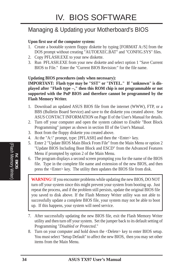# Managing & Updating your Motherboard's BIOS

#### **Upon first use of the computer system:**

- 1. Create a bootable system floppy diskette by typing [FORMAT A:/S] from the DOS prompt without creating "AUTOEXEC.BAT" and "CONFIG.SYS" files.
- 2. Copy PFLASH.EXE to your new diskette.
- 3. Run PFLASH.EXE from your new diskette and select option 1 "Save Current BIOS to File." Enter the "Current BIOS Revision:" for the file name.

#### **Updating BIOS procedures (only when necessary):**

**IMPORTANT: Flash type may be "SST" or "INTEL." If "unknown" is displayed after "Flash type --," then this ROM chip is not programmable or not supported with the PnP BIOS and therefore cannot be programmed by the Flash Memory Writer.**

- 1. Download an updated ASUS BIOS file from the internet (WWW), FTP, or a BBS (Bulletin Board Service) and save to the diskette you created above. See ASUS CONTACT INFORMATION on Page II of the User's Manual for details.
- 2. Turn off your computer and open the system cabinet to *Enable* "Boot Block Programming" jumper as shown in section III of the User's Manual.
- 3. Boot from the floppy diskette you created above.
- 4. At the "A:\" prompt, type: [PFLASH] and then the <Enter> key.
- 5. Enter 2 "Update BIOS Main Block From File" from the Main Menu or option 2 "Update BIOS Including Boot Block and ESCD" from the Advanced Features Menu if prompted by option 2 of the Main Menu.
- 6. The program displays a second screen prompting you for the name of the BIOS file. Type in the complete file name and extension of the new BIOS, and then press the <Enter> key. The utility then updates the BIOS file from disk.

**WARNING**! If you encounter problems while updating the new BIOS, DO NOT turn off your system since this might prevent your system from booting up. Just repeat the process, and if the problem still persists, update the original BIOS file you saved to disk above. If the Flash Memory Writer utility was not able to successfully update a complete BIOS file, your system may not be able to boot up. If this happens, your system will need service.

- 7. After successfully updating the new BIOS file, exit the Flash Memory Writer utility and then turn off your system. Set the jumper back to its default setting of Programming "*Disabled or Protected*."
- 8. Turn on your computer and hold down the <Delete> key to enter BIOS setup. You must select "Setup Default" to affect the new BIOS, then you may set other items from the Main Menu.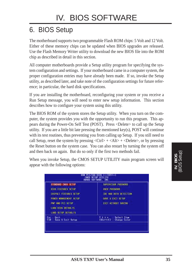# 6. BIOS Setup

The motherboard supports two programmable Flash ROM chips: 5 Volt and 12 Volt. Either of these memory chips can be updated when BIOS upgrades are released. Use the Flash Memory Writer utility to download the new BIOS file into the ROM chip as described in detail in this section.

All computer motherboards provide a Setup utility program for specifying the system configuration and settings. If your motherboard came in a computer system, the proper configuration entries may have already been made. If so, invoke the Setup utility, as described later, and take note of the configuration settings for future reference; in particular, the hard disk specifications.

If you are installing the motherboard, reconfiguring your system or you receive a Run Setup message, you will need to enter new setup information. This section describes how to configure your system using this utility.

The BIOS ROM of the system stores the Setup utility. When you turn on the computer, the system provides you with the opportunity to run this program. This appears during the Power-On Self Test (POST). Press <Delete> to call up the Setup utility. If you are a little bit late pressing the mentioned key(s), POST will continue with its test routines, thus preventing you from calling up Setup. If you still need to call Setup, reset the system by pressing  $\langle \text{Ctrl} \rangle + \langle \text{Alt} \rangle + \langle \text{Delete} \rangle$ , or by pressing the Reset button on the system case. You can also restart by turning the system off and then back on again. But do so only if the first two methods fail.

When you invoke Setup, the CMOS SETUP UTILITY main program screen will appear with the following options:

|                                                                                                                                                                                                        | <b>BIOS (&lt;<ik97>)</ik97></b><br>CHOS SETUP UTILITY<br>ANARD SOFTWARE, INC.                                     |
|--------------------------------------------------------------------------------------------------------------------------------------------------------------------------------------------------------|-------------------------------------------------------------------------------------------------------------------|
| STANDARD CHOS SETUP<br><b>810S FEATURES SETUP</b><br>CHIPSET FEATURES SETUP<br><b><i>POWER MANAGEMENT SETUP</i></b><br>PMP AND PCT SETUP<br>LOAD 810S DEFINILTS.<br>LOOD SETUP DEFIULTS<br><b>Ouit</b> | SUPERVISOR PASSNORD<br><b>USER PRSSHORD</b><br>THE HOD AUTO DETECTION<br>SAVE & EXIT SETUP<br>EXTT VITHOUT SAVING |
| 10 : Savo à Exit Setup                                                                                                                                                                                 | f   * *   Select Item<br>(Shift]F2 : Change Color                                                                 |

**IV. BIOS** (BIOS Setup)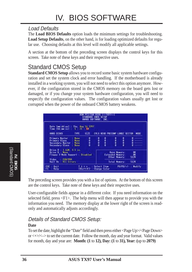### Load Defaults

The **Load BIOS Defaults** option loads the minimum settings for troubleshooting. **Load Setup Defaults**, on the other hand, is for loading optimized defaults for regular use. Choosing defaults at this level will modify all applicable settings.

A section at the bottom of the preceding screen displays the control keys for this screen. Take note of these keys and their respective uses.

# Standard CMOS Setup

**Standard CMOS Setup** allows you to record some basic system hardware configuration and set the system clock and error handling. If the motherboard is already installed in a working system, you will not need to select this option anymore. However, if the configuration stored in the CMOS memory on the board gets lost or damaged, or if you change your system hardware configuration, you will need to respecify the configuration values. The configuration values usually get lost or corrupted when the power of the onboard CMOS battery weakens.

|                                                                                                                       | STANDARD CMOS SETUP<br>AWARD SOFTWARE, INC. |      |                              |                                |                                      |                    |  |
|-----------------------------------------------------------------------------------------------------------------------|---------------------------------------------|------|------------------------------|--------------------------------|--------------------------------------|--------------------|--|
| Date (mm:dd:uu) :<br>Thu, Rug 14 1997<br>Time (hh:mm:ss)<br>$5 +$<br><b>HERD DISKS</b><br><b>TYPE</b>                 | $21 - 59$<br><b>ST/E</b>                    |      |                              | CYLS HEAD PRECOMP LANDZ SECTOR |                                      | <b>MDDE</b>        |  |
| <b>Primary Master</b><br>None<br>Primury Slave<br><b>Notar</b><br>Secondary Master<br>None<br>Secondary Slave<br>None | 888                                         | ,,,, | 0000                         | 自自自                            | 机电导机                                 |                    |  |
| Drive R : 1.44M, 3.5 in.<br>Drive B. : None<br>Floopy 3 Mode Support : Disabled                                       |                                             |      |                              | <b>Extended Memory:</b>        | <b>Base Neworu:</b><br>Other Memory: | 談<br>512K          |  |
| <b>EGA/VGA</b><br>Video<br>Halt On : 811 Errors                                                                       |                                             |      |                              |                                | Total Memory:                        | 512K               |  |
| $ESC = 0$ uit<br>Help<br>F1                                                                                           | Shift)F2                                    |      | Select Item<br>Change, Color |                                |                                      | PU/PD/+/- : Modify |  |

The preceding screen provides you with a list of options. At the bottom of this screen are the control keys. Take note of these keys and their respective uses.

User-configurable fields appear in a different color. If you need information on the selected field, press <F1>. The help menu will then appear to provide you with the information you need. The memory display at the lower right of the screen is readonly and automatically adjusts accordingly.

#### Details of Standard CMOS Setup: **Date**

To set the date, highlight the "Date" field and then press either <Page Up>/<Page Down> or  $\langle + \rangle$   $\langle - \rangle$  to set the current date. Follow the month, day and year format. Valid values for month, day and year are: **Month: (1** to **12), Day: (1** to **31), Year: (**up to **2079)**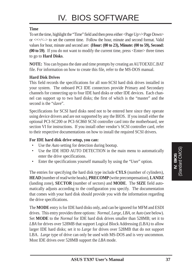#### **Time**

To set the time, highlight the "Time" field and then press either <Page Up>/<Page Down> or  $\langle + \rangle$  to set the current time. Follow the hour, minute and second format. Valid values for hour, minute and second are: **(Hour: (00 to 23), Minute: (00 to 59), Second: (00 to 59)**. If you do not want to modify the current time, press <Enter> three times to go to **Hard Disks**.

**NOTE:** You can bypass the date and time prompts by creating an AUTOEXEC.BAT file. For information on how to create this file, refer to the MS-DOS manual.

#### **Hard Disk Drives**

This field records the specifications for all non-SCSI hard disk drives installed in your system. The onboard PCI IDE connectors provide Primary and Secondary channels for connecting up to four IDE hard disks or other IDE devices. Each channel can support up to two hard disks; the first of which is the "master" and the second is the "slave".

Specifications for SCSI hard disks need not to be entered here since they operate using device drivers and are not supported by any the BIOS. If you install either the optional PCI-SC200 or PCI-SC860 SCSI controller card into the motherboard, see section VI for instructions. If you install other vendor's SCSI controller card, refer to their respective documentations on how to install the required SCSI drivers.

#### **For IDE hard disk drive setup, you can:**

- Use the *Auto* setting for detection during bootup.
- Use the IDE HDD AUTO DETECTION in the main menu to automatically enter the drive specifications.
- Enter the specifications yourself manually by using the "User" option.

The entries for specifying the hard disk type include **CYLS** (number of cylinders), **HEAD** (number of read/write heads), **PRECOMP** (write precompensation), **LANDZ** (landing zone), **SECTOR** (number of sectors) and **MODE**. The **SIZE** field automatically adjusts according to the configuration you specify. The documentation that comes with your hard disk should provide you with the information regarding the drive specifications.

The **MODE** entry is for IDE hard disks only, and can be ignored for MFM and ESDI drives. This entry provides three options: *Normal, Large, LBA*, or *Auto* (see below). Set **MODE** to the *Normal* for IDE hard disk drives smaller than 528MB; set it to *LBA* for drives over 528MB that support Logical Block Addressing (LBA) to allow larger IDE hard disks; set it to *Large* for drives over 528MB that do not support LBA. *Large* type of drive can only be used with MS-DOS and is very uncommon. Most IDE drives over 528MB support the *LBA* mode.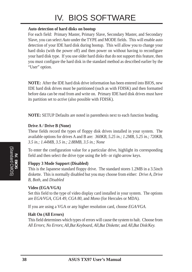# IV. BIOS SOFTWARE

#### **Auto detection of hard disks on bootup**

For each field: Primary Master, Primary Slave, Secondary Master, and Secondary Slave, you can select *Auto* under the TYPE and MODE fields. This will enable auto detection of your IDE hard disk during bootup. This will allow you to change your hard disks (with the power off) and then power on without having to reconfigure your hard disk type. If you use older hard disks that do not support this feature, then you must configure the hard disk in the standard method as described earlier by the "User" option.

**NOTE:** After the IDE hard disk drive information has been entered into BIOS, new IDE hard disk drives must be partitioned (such as with FDISK) and then formatted before data can be read from and write on. Primary IDE hard disk drives must have its partition set to *active* (also possible with FDISK).

**NOTE:** SETUP Defaults are noted in parenthesis next to each function heading.

#### **Drive A / Drive B (None)**

These fields record the types of floppy disk drives installed in your system. The available options for drives A and B are: *360KB, 5.25 in.; 1.2MB, 5.25 in.; 720KB, 3.5 in.; 1.44MB, 3.5 in.; 2.88MB, 3.5 in.; None*

To enter the configuration value for a particular drive, highlight its corresponding field and then select the drive type using the left- or right-arrow keys.

#### **Floppy 3 Mode Support (Disabled)**

This is the Japanese standard floppy drive. The standard stores 1.2MB in a 3.5inch diskette. This is normally disabled but you may choose from either: *Drive A*, *Drive B*, *Both*, and *Disabled*

#### **Video (EGA/VGA)**

Set this field to the type of video display card installed in your system. The options are *EGA/VGA*, *CGA 49*, *CGA 80*, and *Mono* (for Hercules or MDA)*.*

If you are using a VGA or any higher resolution card, choose *EGA/VGA*.

#### **Halt On (All Errors)**

This field determines which types of errors will cause the system to halt. Choose from *All Errors*; *No Errors*; *All*,*But Keyboard, All*,*But Diskette*; and *All,But Disk/Key.*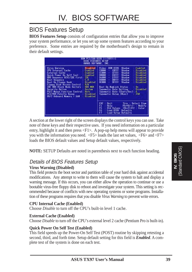### BIOS Features Setup

**BIOS Features Setup** consists of configuration entries that allow you to improve your system performance, or let you set up some system features according to your preference. Some entries are required by the motherboard's design to remain in their default settings.

| BIOS FEATURES SETUP<br>AWARD SOFTWARE, INC.                                                                                                                                                                                                                                                                                                                                                                                                                                                                            | HDM PCE/ISA BIOS (< <ik97>&gt;)</ik97>                                                                                                                                                                                                                                                                                                                                                                                                                                                                                                                                                                                                                                                                                                                           |
|------------------------------------------------------------------------------------------------------------------------------------------------------------------------------------------------------------------------------------------------------------------------------------------------------------------------------------------------------------------------------------------------------------------------------------------------------------------------------------------------------------------------|------------------------------------------------------------------------------------------------------------------------------------------------------------------------------------------------------------------------------------------------------------------------------------------------------------------------------------------------------------------------------------------------------------------------------------------------------------------------------------------------------------------------------------------------------------------------------------------------------------------------------------------------------------------------------------------------------------------------------------------------------------------|
| Disabled<br>Virus Warning<br>Enabled<br>CPU Internal Cache<br>External Cache<br>Enabled<br><b>Ouick Power On Salf Test</b><br>Enabled<br>HOO Sequence SCSI/IDE First<br>TIXE<br>C.R.<br><b>Boot Sequence</b><br>Disabled<br>Boot to Floppy Seek<br><b>Eloppy Disk Access Control</b><br><b>B/W</b><br><b>IDE HDD Block Mode Sectors</b><br>HDD MEX<br>Security Option<br>Sustem<br><b>PS/2 Mouse Function Control:</b><br>Flirto.<br><b>PCL/VGR Palette Snoop</b><br>Disabled<br>OS/2 Onboard Newory > 64N<br>Disabled | <b>RON 810S</b><br>Video<br>Shadow<br><b>Enabled</b><br>C8008<br>CBLEE<br><b>Shadow</b><br>Disabled<br>CFFFF<br>00000<br><b>Shadow</b><br>Disabled<br>۰<br><b>D3FFF</b><br>00000<br>٠<br>Disabled<br><b>Shadow</b><br>0711<br><b>DARNIE</b><br><b>Disabled</b><br>Shadow<br>-<br>08080<br><b>DBITT</b><br>Disabled<br><b>Shadow</b><br>$\sim$<br>00888<br>DEEFE<br>Disabled<br>Shadow<br><b>Boot Up MinLock Status</b><br>Un.<br><b>Tupematic Rate Setting</b><br>Disabled<br><b>Typematic Rate (Chars/Sec):</b><br>6.<br>250<br><b>Tupematic Delay (Msec)</b><br>ESC<br>Time : Select Item<br>$0$ uit<br><b>Filipe</b><br>PU/PD/+/+  <br><b>Halp</b><br>Modify<br>(ShitE)E2<br><b>Old Values</b><br>Color<br>Lond BIOS<br>Defaults<br>F7<br>Load Setup Defaults |

A section at the lower right of the screen displays the control keys you can use. Take note of these keys and their respective uses. If you need information on a particular entry, highlight it and then press  $\langle F1 \rangle$ . A pop-up help menu will appear to provide you with the information you need. <F5> loads the last set values, <F6> and <F7> loads the BIOS default values and Setup default values, respectively.

**NOTE:** SETUP Defaults are noted in parenthesis next to each function heading.

### Details of BIOS Features Setup

#### **Virus Warning (Disabled)**

This field protects the boot sector and partition table of your hard disk against accidental modifications. Any attempt to write to them will cause the system to halt and display a warning message. If this occurs, you can either allow the operation to continue or use a bootable virus-free floppy disk to reboot and investigate your system. This setting is recommended because of conflicts with new operating systems or some programs. Installation of these programs requires that you disable *Virus Warning* to prevent write errors.

#### **CPU Internal Cache (Enabled)**

Choose *Disable* to turn off the CPU's built-in level 1 cache.

#### **External Cache (Enabled)**

Choose *Disable* to turn off the CPU's external level 2 cache (Pentium Pro is built-in).

#### **Quick Power On Self Test (Enabled)**

This field speeds up the Power-On Self Test (POST) routine by skipping retesting a second, third, and forth time. Setup default setting for this field is *Enabled*. A complete test of the system is done on each test.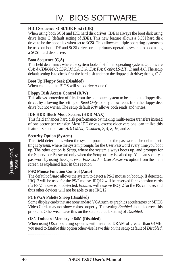# IV. BIOS SOFTWARE

#### **HDD Sequence SCSI/IDE First (IDE)**

When using both SCSI and IDE hard disk drives, IDE is always the boot disk using drive letter C (default setting of *IDE*). This new feature allows a SCSI hard disk drive to be the boot disk when set to *SCSI*. This allows multiple operating systems to be used on both IDE and SCSI drives or the primary operating system to boot using a SCSI hard disk drive.

#### **Boot Sequence (C,A)**

This field determines where the system looks first for an operating system. Options are *C,A*; *A,CDROM,C*; *CDROM,C,A*; *D,A*; *E,A*; *F,A*; *C only*; *LS/ZIP, C*; and *A,C*. The setup default setting is to check first the hard disk and then the floppy disk drive; that is, *C, A*.

#### **Boot Up Floppy Seek (Disabled)**

When enabled, the BIOS will seek drive A one time.

#### **Floppy Disk Access Control (R/W)**

This allows protection of files from the computer system to be copied to floppy disk drives by allowing the setting of *Read Only* to only allow reads from the floppy disk drive but not writes. The setup default *R/W* allows both reads and writes.

#### **IDE HDD Block Mode Sectors (HDD MAX)**

This field enhances hard disk performance by making multi-sector transfers instead of one sector per transfer. Most IDE drives, except older versions, can utilize this feature. Selections are *HDD MAX*, *Disabled*, *2*, *4*, *8*, *16*, and *32*.

#### **Security Option (System)**

This field determines when the system prompts for the password. The default setting is *System*, where the system prompts for the User Password every time you boot up. The other option is *Setup*, where the system always boots up, and prompts for the Supervisor Password only when the Setup utility is called up. You can specify a password by using the *Supervisor Password* or *User Password* option from the main screen as explained later in this section.

#### **PS/2 Mouse Function Control (Auto)**

The default of *Auto* allows the system to detect a PS/2 mouse on bootup. If detected, IRQ12 will be used for the PS/2 mouse. IRQ12 will be reserved for expansion cards if a PS/2 mouse is not detected. *Enabled* will reserve IRQ12 for the PS/2 mouse, and thus other devices will not be able to use IRQ12.

#### **PCI/VGA Palette Snoop (Disabled)**

Some display cards that are nonstandard VGA such as graphics accelerators or MPEG Video Cards may not show colors properly. The setting *Enabled* should correct this problem. Otherwise leave this on the setup default setting of *Disabled*.

#### **OS/2 Onboard Memory > 64M (Disabled)**

When using OS/2 operating systems with installed DRAM of greater than 64MB, you need to *Enable* this option otherwise leave this on the setup default of *Disabled*.

......................................................................................................................................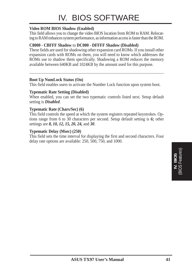# IV. BIOS SOFTWARE

#### **Video ROM BIOS Shadow (Enabled)**

This field allows you to change the video BIOS location from ROM to RAM. Relocating to RAM enhances system performance, as information access is faster than the ROM.

#### **C8000 - CBFFF Shadow** to **DC000 - DFFFF Shadow (Disabled)**

These fields are used for shadowing other expansion card ROMs. If you install other expansion cards with ROMs on them, you will need to know which addresses the ROMs use to shadow them specifically. Shadowing a ROM reduces the memory available between 640KB and 1024KB by the amount used for this purpose.

#### ......................................................................................................................................

#### **Boot Up NumLock Status (On)**

This field enables users to activate the Number Lock function upon system boot.

#### **Typematic Rate Setting (Disabled)**

When enabled, you can set the two typematic controls listed next. Setup default setting is *Disabled*.

#### **Typematic Rate (Chars/Sec) (6)**

This field controls the speed at which the system registers repeated keystrokes. Options range from 6 to 30 characters per second. Setup default setting is *6;* other settings are *8, 10, 12, 15, 20, 24,* and *30*.

#### **Typematic Delay (Msec) (250)**

This field sets the time interval for displaying the first and second characters. Four delay rate options are available: 250, 500, 750, and 1000.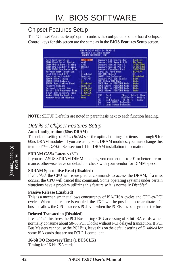### Chipset Features Setup

This "Chipset Features Setup" option controls the configuration of the board's chipset. Control keys for this screen are the same as in the **BIOS Features Setup** screen.

| PCL/ISB BIOS (< <tk97>&gt;)<br/>HUM<br/>CHIPSET FEATURES SETUP<br/>AWARD SOFTWARE INC.</tk97>                                                                                                                                                                                                                                                                                            |                                                                                                                                                                      |                                                                                                                                                                                                                                                                                                                                                                                                                                                                                                                                                                                                                  |  |  |  |  |  |  |  |  |
|------------------------------------------------------------------------------------------------------------------------------------------------------------------------------------------------------------------------------------------------------------------------------------------------------------------------------------------------------------------------------------------|----------------------------------------------------------------------------------------------------------------------------------------------------------------------|------------------------------------------------------------------------------------------------------------------------------------------------------------------------------------------------------------------------------------------------------------------------------------------------------------------------------------------------------------------------------------------------------------------------------------------------------------------------------------------------------------------------------------------------------------------------------------------------------------------|--|--|--|--|--|--|--|--|
| <b>Rulo Configuration</b><br>DRAM Read Burst Timing<br><b>DRAM Write Burst Timing</b><br>DRIM R/W Leadoff Timing<br>DOOM RASH Precharge Time<br>Refresh RASM Assertion<br>Fast EDD Lead Off<br>Speculative Leadoff<br>SORIA RASH Timina<br>SDRAM CASH Latency<br>SDRAM Speculative Head<br>Passive Release<br>Delawed Transaction<br>16 bit I/O Necovery Time<br>8-bit I/O Recovery Time | <b>68ns DRIM</b><br>udda -<br>w333.<br>181/61<br>흵<br>51<br>Disabled<br>Enabled<br>31751781<br>Uisabled<br>Enabled<br>Disabled<br><b>L BUSCLK</b><br><b>T BUSCLK</b> | <b>Onboard FDC Controller</b><br>Enabled<br>Onboard FDC Swap R B B<br>No. Seriep<br><b>Onboard Serial Port 1</b><br><b>JFBH/TRO4</b><br>Onboard Serial Part 2<br><b>JFBN/TRUC</b><br><b>STRAIT DROT</b><br><b>Onboard Parallel Part</b><br>FOP -EPP<br>Parallel Port Mode<br>я<br>ECP DMR Select<br>UNRT2 Use Infrared<br><b>Uisabled</b><br><b>Orboard PCI IDE Enable</b><br>Ho th<br>IDE Ultra DNA Node<br><b>Ruto</b><br>IDE0 Master PIO/DMA Mode<br><b>Huto</b><br>IDEB Slave PIO/DNA Mode<br><b>Huto</b><br><b>TDE1 Master PIO/OMR Mode</b><br><b>Huto</b><br><b>TOET Slave PIG/ONR Mode</b><br><b>Buto</b> |  |  |  |  |  |  |  |  |
| Video BIOS Cacheable<br>Memory Hole At Address                                                                                                                                                                                                                                                                                                                                           | Enabled<br><b>None</b>                                                                                                                                               | ESC-<br>$0$ uit<br>Time : Select Item<br>Fl<br>Help<br>PU/PD/+/+  <br>Modify<br>F5<br>01d Values (Shift)F2 :<br>Color<br>56<br>Loud BIOS<br>Defaults<br>F7<br>Load Setup Defaults                                                                                                                                                                                                                                                                                                                                                                                                                                |  |  |  |  |  |  |  |  |

**NOTE:** SETUP Defaults are noted in parenthesis next to each function heading.

#### Details of Chipset Features Setup **Auto Configuration (60ns DRAM)**

The default setting of *60ns DRAM* sets the optimal timings for items 2 through 9 for 60ns DRAM modules. If you are using 70ns DRAM modules, you must change this item to *70ns DRAM*. See section III for DRAM installation information.

#### **SDRAM CAS# Latency (3T)**

If you use ASUS SDRAM DIMM modules, you can set this to *2T* for better performance, otherwise leave on default or check with your vendor for DIMM specs.

#### **SDRAM Speculative Read (Disabled)**

If *Enabled*, the CPU will issue predict commands to access the DRAM, if a miss occurs, the CPU will cancel this command. Some operating systems under certain situations have a problem utilizing this feature so it is normally *Disabled*.

#### **Passive Release (Enabled)**

This is a mechanism that allows concurrency of ISA/EISA cycles and CPU-to-PCI cycles. When this feature is enabled, the TXC will be possible to re-arbitrate PCI bus and allow the CPU to access PCI even when the PCEB has been granted the bus.

#### **Delayed Transaction (Disabled)**

If *Enabled*, this frees the PCI Bus during CPU accessing of 8-bit ISA cards which normally consume about 50-60 PCI Clocks without PCI delayed transaction. If PCI Bus Masters cannot use the PCI Bus, leave this on the default setting of *Disabled* for some ISA cards that are not PCI 2.1 compliant.

#### **16-bit I/O Recovery Time (1 BUSCLK)**

Timing for 16-bit ISA cards.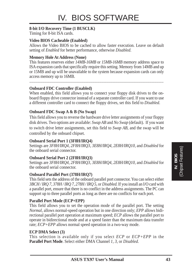#### **8-bit I/O Recovery Time (1 BUSCLK)**

Timing for 8-bit ISA cards.

#### **Video BIOS Cacheable (Enabled)**

Allows the Video BIOS to be cached to allow faster execution. Leave on default setting of *Enabled* for better performance, otherwise *Disabled*.

#### **Memory Hole At Address (None)**

This features reserves either *14MB-16MB* or *15MB-16MB* memory address space to ISA expansion cards that specifically require this setting. Memory from 14MB and up or 15MB and up will be unavailable to the system because expansion cards can only access memory up to 16MB.

....................................................................................................................................

#### **Onboard FDC Controller (Enabled)**

When enabled, this field allows you to connect your floppy disk drives to the onboard floppy drive connector instead of a separate controller card. If you want to use a different controller card to connect the floppy drives, set this field to *Disabled*.

#### **Onboard FDC Swap A & B (No Swap)**

This field allows you to reverse the hardware drive letter assignments of your floppy disk drives. Two options are available: *Swap AB* and *No Swap* (default). If you want to switch drive letter assignments, set this field to *Swap AB*, and the swap will be controlled by the onboard chipset.

#### **Onboard Serial Port 1 (3F8H/IRQ4)**

Settings are *3F8H/IRQ4*, *2F8H/IRQ3, 3E8H/IRQ4, 2E8H/IRQ10,* and *Disabled* for the onboard serial connector.

#### **Onboard Serial Port 2 (2F8H/IRQ3)**

Settings are *3F8H/IRQ4, 2F8H/IRQ3*, *3E8H/IRQ4, 2E8H/IRQ10,* and *Disabled* for the onboard serial connector.

#### **Onboard Parallel Port (378H/IRQ7)**

This field sets the address of the onboard parallel port connector. You can select either *3BCH / IRQ 7*, *378H / IRQ 7*, *278H / IRQ 5*, or *Disabled.* If you install an I/O card with a parallel port, ensure that there is no conflict in the address assignments. The PC can support up to three parallel ports as long as there are no conflicts for each port.

#### **Parallel Port Mode (ECP+EPP)**

This field allows you to set the operation mode of the parallel port. The setting *Normal*, allows normal-speed operation but in one direction only; *EPP* allows bidirectional parallel port operation at maximum speed; *ECP* allows the parallel port to operate in bidirectional mode and at a speed faster than the maximum data transfer rate; *ECP+EPP* allows normal speed operation in a two-way mode.

#### **ECP DMA Select (3)**

This selection is available only if you select *ECP* or *ECP+EPP* in the **Parallel Port Mode**. Select either DMA Channel *1, 3*, or *Disabled*.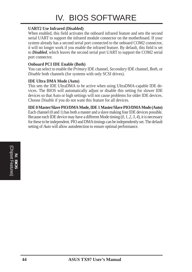#### **UART2 Use Infrared (Disabled)**

When enabled, this field activates the onboard infrared feature and sets the second serial UART to support the infrared module connector on the motherboard. If your system already has a second serial port connected to the onboard COM2 connector, it will no longer work if you enable the infrared feature. By default, this field is set to *Disabled*, which leaves the second serial port UART to support the COM2 serial port connector.

#### **Onboard PCI IDE Enable (Both)**

You can select to enable the *Primary* IDE channel, *Secondary* IDE channel, *Both*, or *Disable* both channels (for systems with only SCSI drives).

#### **IDE Ultra DMA Mode (Auto)**

This sets the IDE UltraDMA to be active when using UltraDMA-capable IDE devices. The BIOS will automatically adjust or disable this setting for slower IDE devices so that Auto or high settings will not cause problems for older IDE devices. Choose *Disable* if you do not want this feature for all devices.

#### **IDE 0 Master/Slave PIO/DMA Mode, IDE 1 Master/Slave PIO/DMA Mode (Auto)**

Each channel (0 and 1) has both a master and a slave making four IDE devices possible. Because each IDE device may have a different Mode timing (*0, 1, 2, 3, 4*), it is necessary for these to be independent. PIO and DMA timings can be independently set. The default setting of *Auto* will allow autodetection to ensure optimal performance.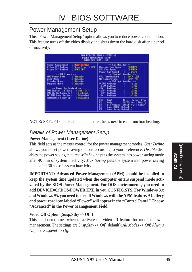### Power Management Setup

This "Power Management Setup" option allows you to reduce power consumption. This feature turns off the video display and shuts down the hard disk after a period of inactivity.

| HUM PCL/15A B10S (< <ik97>&gt;1<br/>PONER HANAGENENT SETUP<br/>AWARD SOFTWARE INC.</ik97>                                                                                                                                                                                                                                                                                                                                                                                  |                                                                                                                                                                                                                                                                                                                                                                                                                                                                                                                                                                                                                       |  |  |  |  |  |  |  |  |  |
|----------------------------------------------------------------------------------------------------------------------------------------------------------------------------------------------------------------------------------------------------------------------------------------------------------------------------------------------------------------------------------------------------------------------------------------------------------------------------|-----------------------------------------------------------------------------------------------------------------------------------------------------------------------------------------------------------------------------------------------------------------------------------------------------------------------------------------------------------------------------------------------------------------------------------------------------------------------------------------------------------------------------------------------------------------------------------------------------------------------|--|--|--|--|--|--|--|--|--|
| <b>Power Nanagement</b><br>User Define<br>Susp. Sthe DFF<br>Video Off Dation<br>Video Off Nethod<br><b>OPMS OFF</b><br>** PM Timers **<br>HDD Power Down<br><b>Tisable</b><br><b>Boze Mode</b><br>: Disable<br>Standby Node<br>: Disable<br>Suspend Node<br>Disable<br>es Power Up Control<br><br><b>FWR Button &lt; &amp; Secs</b><br>Seft Off<br><b>PWR tip the Modes fict</b><br>Enabled:<br>AC FWR Loss Restart<br>t Disabled<br><b>Butomatic Power Up</b><br>Disabled | ** Ean Monitor<br>$\blacksquare$<br>Chassis Fan Speed : 3300HPM<br>CPU Fan Speed - 3880HPK<br>Power Fan Speed - 1 Janore<br>-- Ihermal Monitor --<br>CPU Temperature : 500/112F<br>: 250/77<br><b>HB Temperature</b><br>** Voltage Monitor **<br><b>VCCRE Voltage</b><br>3.3V<br>$\frac{3.30}{5.00}$<br>-3.3V Voltage<br>-SV Voltage<br>$-129$<br>12.89<br>Voltage<br>$-129$<br>$-12.09$<br>Voltage<br>-57<br>$-5.09$<br>Voltage<br>ESC<br>Duit a<br>Time : Select Item<br>昆<br>Halp a<br>PU/PD/+/+  <br><b>Modify</b><br>01d Values (Shift)F2 +<br>Color<br>56<br>Lond BIOS<br>Defaults<br>F7<br>Load Setup Defaults |  |  |  |  |  |  |  |  |  |

**NOTE:** SETUP Defaults are noted in parenthesis next to each function heading.

### Details of Power Management Setup

#### **Power Management (User Define)**

This field acts as the master control for the power management modes. *User Define* allows you to set power saving options according to your preference; *Disable* disables the power saving features; *Min Saving* puts the system into power saving mode after 40 min of system inactivity; *Max Saving* puts the system into power saving mode after 30 sec of system inactivity.

**IMPORTANT: Advanced Power Management (APM) should be installed to keep the system time updated when the computer enters suspend mode activated by the BIOS Power Management. For DOS environments, you need to add DEVICE=C:\DOS\POWER.EXE in you CONFIG.SYS. For Windows 3.x and Windows 95, you need to install Windows with the APM feature. A battery and power cord icon labeled "Power" will appear in the "Control Panel." Choose "Advanced" in the Power Management Field.**

#### **Video Off Option (Susp,Stby -> Off )**

This field determines when to activate the video off feature for monitor power management. The settings are *Susp,Stby -> Off* (default); *All Modes -> Off*; *Always On*; and *Suspend -> Off.*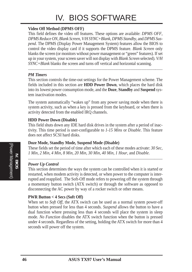# IV. BIOS SOFTWARE

#### **Video Off Method (DPMS OFF)**

This field defines the video off features. These options are available: *DPMS OFF*, *DPMS Reduce ON*, *Blank Screen*, *V/H SYNC+Blank*, *DPMS Standby*, and *DPMS Suspend*. The DPMS (Display Power Management System) features allow the BIOS to control the video display card if it supports the DPMS feature. *Blank Screen* only blanks the screen (or monitors without power management or "green" features). If set up in your system, your screen saver will not display with *Blank Screen* selected). *V/H SYNC+Blank* blanks the screen and turns off vertical and horizontal scanning.

......................................................................................................................................

#### *PM Timers*

This section controls the time-out settings for the Power Management scheme. The fields included in this section are **HDD Power Down**, which places the hard disk into its lowest power consumption mode, and the **Doze**, **Standby** and **Suspend** system inactivation modes.

The system automatically "wakes up" from any power saving mode when there is system activity, such as when a key is pressed from the keyboard, or when there is activity detected from the enabled IRQ channels.

#### **HDD Power Down (Disable)**

This field shuts down any IDE hard disk drives in the system after a period of inactivity. This time period is user-configurable to *1-15 Mins* or *Disable*. This feature does not affect SCSI hard disks.

#### **Doze Mode, Standby Mode, Suspend Mode (Disable)**

These fields set the period of time after which each of these modes activate: *30 Sec*, *1 Min*, *2 Min*, *4 Min*, *8 Min*, *20 Min*, *30 Min*, *40 Min*, *1 Hour*, and *Disable*.

.......................................................................................................................................

#### *Power Up Control*

This section determines the ways the system can be controlled when it is started or restarted, when modem activity is detected, or when power to the computer is interrupted and reapplied. The Soft-Off mode refers to powering off the system through a momentary button switch (ATX switch) or through the software as opposed to disconnecting the AC power by way of a rocker switch or other means.

#### **PWR Button < 4 Secs (Soft Off)**

When set to *Soft Off*, the ATX switch can be used as a normal system power-off button when pressed for less than 4 seconds. *Suspend* allows the button to have a dual function where pressing less than 4 seconds will place the system in sleep mode. *No Function* disables the ATX switch function when the button is pressed under 4 seconds. Regardless of the setting, holding the ATX switch for more than 4 seconds will power off the system.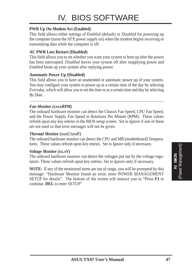#### **PWR Up On Modem Act (Enabled)**

This field allows either settings of *Enabled* (default) or *Disabled* for powering up the computer (turns the ATX power supply on) when the modem begins receiving or transmitting data while the computer is off.

#### **AC PWR Loss Restart (Disabled)**

This field allows you to set whether you want your system to boot up after the power has been interrupted. *Disabled* leaves your system off after reapplying power and *Enabled* boots up your system after replying power.

#### **Automatic Power Up (Disabled)**

This field allows you to have an unattended or automatic power up of your system. You may configure your system to power up at a certain time of the day by selecting *Everyday*, which will allow you to set the time or at a certain time and day by selecting *By Date.*

.....................................................................................................................................

#### *Fan Monitor (xxxxRPM)*

The onboard hardware monitor can detect the Chassis Fan Speed, CPU Fan Speed, and the Power Supply Fan Speed in Rotations Per Minute (RPM). These values refresh upon any key entries in the BIOS setup screen. Set to *Ignore* if one of these are not used so that error messages will not be given.

#### *Thermal Monitor (xxxC/xxxF)*

The onboard hardware monitor can detect the CPU and MB (motherboard) Temperatures. These values refresh upon key entries. Set to *Ignore* only if necessary.

#### *Voltage Monitor (xx.xV)*

The onboard hardware monitor can detect the voltages put out by the voltage regulators. These values refresh upon key entries. Set to *Ignore* only if necessary.

**NOTE:** If any of the monitored items are out of range, you will be prompted by this message: "Hardware Monitor found an error, enter POWER MANAGEMENT SETUP for details". The bottom of the screen will instruct you to "Press **F1** to continue, **DEL** to enter SETUP"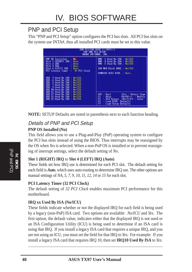### PNP and PCI Setup

This "PNP and PCI Setup" option configures the PCI bus slots. All PCI bus slots on the system use INTA#, thus all installed PCI cards must be set to this value.

| HUM PCL/ISA BIOS (<<1X97>>)<br>PNP AND PCI SETUP.<br>AWARD SOFTWARE, INC.                                                                                                                                                                                                                                                                                                                                                                        |                                                                                                                                                                                                     |  |  |  |  |  |  |  |  |  |  |
|--------------------------------------------------------------------------------------------------------------------------------------------------------------------------------------------------------------------------------------------------------------------------------------------------------------------------------------------------------------------------------------------------------------------------------------------------|-----------------------------------------------------------------------------------------------------------------------------------------------------------------------------------------------------|--|--|--|--|--|--|--|--|--|--|
| FWP OS<br>Installed<br>No<br>Slot 1<br>(RIGHT) IRD<br><b>Huto</b><br>\$1o1 2 IRD<br><b>Hutu</b><br>Slot 3 180<br>Huto<br>A (LEFT) IRD<br>Sint<br>Butm<br>32 PCI Clock<br><b>PCI Latency Timer</b><br>No/TED<br>190<br>3 Used By ISH<br>意味はある<br>4 Used By ISR<br>No./TCD<br>5 Used Bo ISA<br>No/TCU<br>7 Used By ISB<br>No/TCU<br><b>TSA</b><br>9 Used By<br>No/TCH<br><b>ISB</b><br>No. IEB<br>10 Used By<br>ISH<br>IRO<br>11 Used Bu<br>No/TCU | No/TED<br>1 Used By ISB<br>um<br>DMA<br>3 Used By ISR<br>No/TEU<br>DMA<br>5 Used By ISR<br>No/TEU<br><b>ISO MEN Block BRSE</b><br><b>Bu/TEIL</b><br>SYMBIOS SCSI BIOS<br>: Ruto                     |  |  |  |  |  |  |  |  |  |  |
| IRO 12 Used By ISR<br>No/ICU<br>IR0 14 Used By ISB<br>No./TCU<br>INO 15 Used By ISA<br>No/TEU                                                                                                                                                                                                                                                                                                                                                    | ESC<br>Ti -- : Select Item<br>0 <sub>u11</sub><br>Fl<br>Help<br>PU/PD/+/+  <br>Modify<br>F5<br><b>Old Values</b><br>(ShitE)E2<br>Color<br>56<br>Load BIOS<br>Defaults.<br>F7<br>Load Setup Defaults |  |  |  |  |  |  |  |  |  |  |

**NOTE:** SETUP Defaults are noted in parenthesis next to each function heading.

#### Details of PNP and PCI Setup **PNP OS Installed (No)**

This field allows you to use a Plug-and-Play (PnP) operating system to configure the PCI bus slots instead of using the BIOS. Thus interrupts may be reassigned by the OS when *Yes* is selected. When a non-PnP OS is installed or to prevent reassigning of interrupt settings, select the default setting of *No*.

#### **Slot 1 (RIGHT) IRQ** to **Slot 4 (LEFT) IRQ (Auto)**

These fields set how IRQ use is determined for each PCI slot. The default setting for each field is *Auto*, which uses auto-routing to determine IRQ use. The other options are manual settings of *NA, 5, 7, 9, 10, 11, 12, 14* or *15* for each slot.

#### **PCI Latency Timer (32 PCI Clock)**

The default setting of *32 PCI Clock* enables maximum PCI performance for this motherboard.

#### **IRQ xx Used By ISA (No/ICU)**

These fields indicate whether or not the displayed IRQ for each field is being used by a legacy (non-PnP) ISA card. Two options are available: *No/ICU* and *Yes*. The first option, the default value, indicates either that the displayed IRQ is not used or an ISA Configuration Utility (ICU) is being used to determine if an ISA card is using that IRQ. If you install a legacy ISA card that requires a unique IRQ, and you are not using an ICU, you must set the field for that IRQ to *Yes*. For example: If you install a legacy ISA card that requires IRQ 10, then set **IRQ10 Used By ISA** to *Yes*.

......................................................................................................................................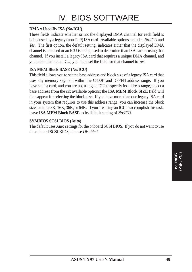#### **DMA x Used By ISA (No/ICU)**

These fields indicate whether or not the displayed DMA channel for each field is being used by a legacy (non-PnP) ISA card. Available options include: *No/ICU* and *Yes*. The first option, the default setting, indicates either that the displayed DMA channel is not used or an ICU is being used to determine if an ISA card is using that channel. If you install a legacy ISA card that requires a unique DMA channel, and you are not using an ICU, you must set the field for that channel to *Yes*.

#### **ISA MEM Block BASE (No/ICU)**

This field allows you to set the base address and block size of a legacy ISA card that uses any memory segment within the C800H and DFFFH address range. If you have such a card, and you are not using an ICU to specify its address range, select a base address from the six available options; the **ISA MEM Block SIZE** field will then appear for selecting the block size. If you have more than one legacy ISA card in your system that requires to use this address range, you can increase the block size to either 8K, 16K, 36K, or 64K. If you are using an ICU to accomplish this task, leave **ISA MEM Block BASE** to its default setting of *No/ICU*.

#### **SYMBIOS SCSI BIOS (Auto)**

The default uses *Auto* settings for the onboard SCSI BIOS. If you do not want to use the onboard SCSI BIOS, choose *Disabled*.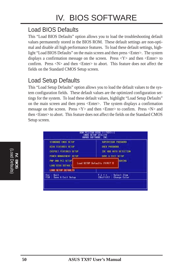# Load BIOS Defaults

This "Load BIOS Defaults" option allows you to load the troubleshooting default values permanently stored in the BIOS ROM. These default settings are non-optimal and disable all high performance features. To load these default settings, highlight "Load BIOS Defaults" on the main screen and then press <Enter>. The system displays a confirmation message on the screen. Press  $\langle Y \rangle$  and then  $\langle$ Enter $\rangle$  to confirm. Press  $\langle N \rangle$  and then  $\langle$ Enter $\rangle$  to abort. This feature does not affect the fields on the Standard CMOS Setup screen.

### Load Setup Defaults

This "Load Setup Defaults" option allows you to load the default values to the system configuration fields. These default values are the optimized configuration settings for the system. To load these default values, highlight "Load Setup Defaults" on the main screen and then press <Enter>. The system displays a confirmation message on the screen. Press  $\langle Y \rangle$  and then  $\langle$ Enter $\rangle$  to confirm. Press  $\langle N \rangle$  and then <Enter> to abort. This feature does not affect the fields on the Standard CMOS Setup screen.

|                                                                                                              | <b>BIOS (&lt;<ik97>&gt;)</ik97></b><br>CHOS SETUP UTTLITY<br>ANARD SOFTWARE, INC.          |
|--------------------------------------------------------------------------------------------------------------|--------------------------------------------------------------------------------------------|
| STONDARD CHOS SETUP<br><b>810S FEATURES SETUP</b><br>CHIPSET FEATURES SETUP<br><b>POWER MRNAGEMENT SETUP</b> | SUPERVISOR PASSNORD<br><b>USER PRSSHORD</b><br>THE HOD AUTO DETECTION<br>SHAT & ERIT SETUP |
| PMP AND PCT SETUP<br><b>LOAD BIOS DEFINILT</b><br><b>LOOD SETUP DEFAULTS</b>                                 | <b>SAVING</b><br>Load SETUP Defaults (V/N)? V                                              |
| <b>Ouit</b><br>Save & Exit Setup                                                                             | <b>Select Item</b><br>f ↓ + + - - Select Item<br>(Shift)F2 : Change Color                  |
|                                                                                                              |                                                                                            |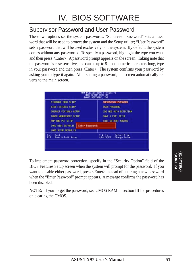### Supervisor Password and User Password

These two options set the system passwords. "Supervisor Password" sets a password that will be used to protect the system and the Setup utility; "User Password" sets a password that will be used exclusively on the system. By default, the system comes without any passwords. To specify a password, highlight the type you want and then press <Enter>. A password prompt appears on the screen. Taking note that the password is case sensitive, and can be up to 8 alphanumeric characters long, type in your password and then press <Enter>. The system confirms your password by asking you to type it again. After setting a password, the screen automatically reverts to the main screen.

| CHOS SE                                                 | <b>BIOS (&lt;<ik97>)</ik97></b>                                                                                          |  |  |  |  |  |  |  |
|---------------------------------------------------------|--------------------------------------------------------------------------------------------------------------------------|--|--|--|--|--|--|--|
| CHIPSET FEATURES SETUP<br><b>POWER NRNAGENENT SETUP</b> | SUPERVISOR PRSSNORD<br><b>USER PASSHORD</b><br>THE HOD RUTH DETECTION<br>SAVE & EXIT SETUP<br><b>EXIT VITHOUT SAVING</b> |  |  |  |  |  |  |  |
| Enter Password:                                         |                                                                                                                          |  |  |  |  |  |  |  |
|                                                         |                                                                                                                          |  |  |  |  |  |  |  |
| Save & Exit Setup                                       | <b>Select Item</b><br>(ShiftIF2)<br><b>Change Color</b>                                                                  |  |  |  |  |  |  |  |
|                                                         | AWARD SOFTWARE, INC.                                                                                                     |  |  |  |  |  |  |  |

To implement password protection, specify in the "Security Option" field of the BIOS Features Setup screen when the system will prompt for the password. If you want to disable either password, press <Enter> instead of entering a new password when the "Enter Password" prompt appears. A message confirms the password has been disabled.

**NOTE:** If you forget the password, see CMOS RAM in section III for procedures on clearing the CMOS.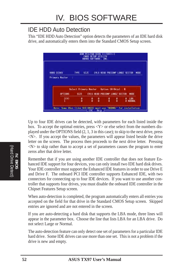### IDE HDD Auto Detection

This "IDE HDD Auto Detection" option detects the parameters of an IDE hard disk drive, and automatically enters them into the Standard CMOS Setup screen.



Up to four IDE drives can be detected, with parameters for each listed inside the box. To accept the optimal entries, press  $\langle Y \rangle$  or else select from the numbers displayed under the OPTIONS field (2, 1, 3 in this case); to skip to the next drive, press  $\langle N \rangle$ . If you accept the values, the parameters will appear listed beside the drive letter on the screen. The process then proceeds to the next drive letter. Pressing  $\langle N \rangle$  to skip rather than to accept a set of parameters causes the program to enter zeros after that drive letter.

Remember that if you are using another IDE controller that does not feature Enhanced IDE support for four devices, you can only install two IDE hard disk drives. Your IDE controller must support the Enhanced IDE features in order to use Drive E and Drive F. The onboard PCI IDE controller supports Enhanced IDE, with two connectors for connecting up to four IDE devices. If you want to use another controller that supports four drives, you must disable the onboard IDE controller in the Chipset Features Setup screen.

When auto-detection is completed, the program automatically enters all entries you accepted on the field for that drive in the Standard CMOS Setup screen. Skipped entries are ignored and are not entered in the screen.

If you are auto-detecting a hard disk that supports the LBA mode, three lines will appear in the parameter box. Choose the line that lists LBA for an LBA drive. Do not select Large or Normal.

The auto-detection feature can only detect one set of parameters for a particular IDE hard drive. Some IDE drives can use more than one set. This is not a problem if the drive is new and empty.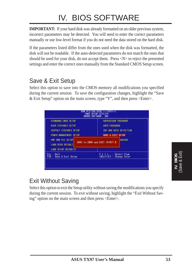# IV. BIOS SOFTWARE

**IMPORTANT:** If your hard disk was already formatted on an older previous system, incorrect parameters may be detected. You will need to enter the correct parameters manually or use low-level format if you do not need the data stored on the hard disk.

If the parameters listed differ from the ones used when the disk was formatted, the disk will not be readable. If the auto-detected parameters do not match the ones that should be used for your disk, do not accept them. Press <N> to reject the presented settings and enter the correct ones manually from the Standard CMOS Setup screen.

### Save & Exit Setup

Select this option to save into the CMOS memory all modifications you specified during the current session. To save the configuration changes, highlight the "Save & Exit Setup" option on the main screen, type "Y", and then press <Enter>.

| STANDARD CMDS SETUP<br><b>BTOS FEATURES SETUP</b><br><b>CHIPSET FEATURES SETUP</b><br>PORER MANAGEMENT SETUP | SUPERVISOR PASSHUAD<br><b>USER PASSHORD</b><br>TOE HOD RUTO DETECTION<br>SAVE & EXIT SETUP |
|--------------------------------------------------------------------------------------------------------------|--------------------------------------------------------------------------------------------|
| PNP AND PCT SETUP<br>LOAD BIDS DEFAULT<br>LOAD SETUP DETAIL TS                                               | SAVING<br>SRVE to CHOS and EXIT (V/M)? V                                                   |
| <b>Ouit</b><br>Fl0 : Save & Exit Setuu                                                                       | <b>Select Item</b><br>$ShiFHF2 +$<br><b>Change Color</b>                                   |

### Exit Without Saving

Select this option to exit the Setup utility without saving the modifications you specify during the current session. To exit without saving, highlight the "Exit Without Saving" option on the main screen and then press <Enter>.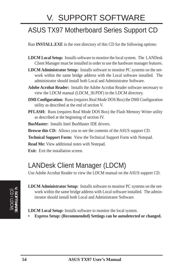# ASUS TX97 Motherboard Series Support CD

Run **INSTALL.EXE** in the root directory of this CD for the following options:

- **LDCM Local Setup:** Installs software to monitor the local system. The LANDesk Client Manager must be installed in order to use the hardware manager features.
- **LDCM Administrator Setup:** Installs software to monitor PC systems on the network within the same bridge address with the Local software installed. The administrator should install both Local and Administrator Software.
- **Adobe Acrobat Reader:** Installs the Adobe Acrobat Reader software necessary to view the LDCM manual (LDCM\_30.PDF) in the LDCM directory.
- **DMI Configuration:** Runs (requires Real Mode DOS Box) the DMI Configuration utility as described at the end of section V.
- **PFLASH:** Runs (requires Real Mode DOS Box) the Flash Memory Writer utility as described at the beginning of section IV.

**BusMaster:** Installs Intel BusMaster IDE drivers.

**Browse this CD:** Allows you to see the contents of the ASUS support CD.

**Technical Support Form:** View the Technical Support Form with Notepad.

**Read Me:** View additional notes with Notepad.

**Exit:** Exit the installation screen.

# LANDesk Client Manager (LDCM)

Use Adobe Acrobat Reader to view the LDCM manual on the ASUS support CD.

#### **LDCM Administrator Setup:** Installs software to monitor PC systems on the network within the same bridge address with Local software installed. The administrator should install both Local and Administrator Software.

**LDCM Local Setup:** Installs software to monitor the local system.

**• Express Setup: (Recommended) Settings can be autodetected or changed.**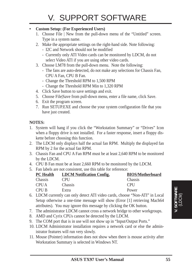#### **• Custom Setup: (For Experienced Users)**

- 1. Choose File | New from the pull-down menu of the "Untitled" screen. Type in a system name.
- 2. Make the appropriate settings on the right-hand side. Note following:
	- I2C and Network should not be modified
	- Currently only ATI Video cards can be monitored by LDCM, do not select Video ATI if you are using other video cards.
- 3. Choose LM78 from the pull-down menu. Note the following:
	- The fans are auto-detected, do not make any selections for Chassis Fan, CPU A Fan, CPU B Fan.
	- Change the Threshold RPM to 1,500 RPM
	- Change the Threshold RPM Min to 1,320 RPM
- 4. Click Save button to save settings and exit.
- 5. Choose File|Save from pull-down menu, enter a file name, click Save.
- 6. Exit the program screen.
- 7. Run SETUP.EXE and choose the your system configuration file that you have just created.

#### **NOTES:**

- 1. System will hang if you click the "Workstation Summary" or "Drives" Icon when a floppy drive is not installed. For a faster response, insert a floppy diskette before choosing this function.
- 2. The LDCM only displays half the actual fan RPM. Multiply the displayed fan RPM by 2 for the actual fan RPM.
- 3. Chassis Fan and CPU A Fan RPM must be at least 2,640 RPM to be monitored by the LDCM.
- 4. CPU B Fan must be at least 2,660 RPM to be monitored by the LDCM.
- 5. Fan labels are not consistent, use this table for reference:

| <b>PC</b> Health | <b>LDCM</b> Notification Config. | <b>BIOS/Motherboard</b> |  |  |  |  |  |  |  |  |
|------------------|----------------------------------|-------------------------|--|--|--|--|--|--|--|--|
| Chassis          | <b>CPU</b>                       | Chassis                 |  |  |  |  |  |  |  |  |
| <b>CPUA</b>      | Chassis                          | CPU                     |  |  |  |  |  |  |  |  |
| <b>CPU B</b>     | Extra                            | Power                   |  |  |  |  |  |  |  |  |

- 6. LDCM currently can only detect ATI video cards, choose "Non-ATI" in Local Setup otherwise a one-time message will show (Error [1] retrieving Mach64 attributes). You may ignore this message by clicking the OK button.
- 7. The administrator LDCM cannot cross a network bridge to other workgroups.
- 8. AMD and Cyrix CPUs cannot be detected by the LDCM.
- 9. The COM port that is in use will not show up in "Input/Output Ports."
- 10. LDCM Administrator installation requires a network card or else the administrator features will run very slowly.
- 11. Mouse (Pointer) information does not show when there is mouse activity after Workstation Summary is selected in Windows NT.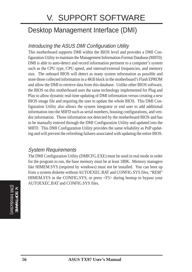# Desktop Management Interface (DMI)

#### Introducing the ASUS DMI Configuration Utility

This motherboard supports DMI within the BIOS level and provides a DMI Configuration Utility to maintain the Management Information Format Database (MIFD). DMI is able to auto-detect and record information pertinent to a computer's system such as the CPU type, CPU speed, and internal/external frequencies, and memory size. The onboard BIOS will detect as many system information as possible and store those collected information in a 4KB block in the motherboard's Flash EPROM and allow the DMI to retrieve data from this database. Unlike other BIOS software, the BIOS on this motherboard uses the same technology implemented for Plug and Play to allow dynamic real-time updating of DMI information versus creating a new BIOS image file and requiring the user to update the whole BIOS. This DMI Configuration Utility also allows the system integrator or end user to add additional information into the MIFD such as serial numbers, housing configurations, and vendor information. Those information not detected by the motherboard BIOS and has to be manually entered through the DMI Configuration Utility and updated into the MIFD. This DMI Configuration Utility provides the same reliability as PnP updating and will prevent the refreshing failures associated with updating the entire BIOS.

#### System Requirements

The DMI Configuration Utility (DMICFG.EXE) must be used in real mode in order for the program to run, the base memory must be at least 180K. Memory managers like HIMEM.SYS (required by windows) must not be installed. You can boot up from a system diskette without AUTOEXEC.BAT and CONFIG.SYS files, "REM" HIMEM.SYS in the CONFIG.SYS, or press <F5> during bootup to bypass your AUTOEXEC.BAT and CONFIG.SYS files.

(DMI Introductior (DMI Introduction) **V. SOFTWARE**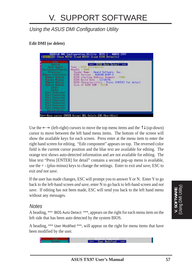### Using the ASUS DMI Configuration Utility

#### **Edit DMI (or delete)**



Use the  $\leftarrow \rightarrow$  (left-right) cursors to move the top menu items and the  $\uparrow \downarrow$  (up-down) cursor to move between the left hand menu items. The bottom of the screen will show the available keys for each screen. Press enter at the menu item to enter the right hand screen for editing. "Edit component" appears on top. The reversed color field is the current cursor position and the blue text are available for editing. The orange text shows auto-detected information and are not available for editing. The blue text "Press [ENTER] for detail" contains a second pop-up menu is available, use the + - (plus-minus) keys to change the settings. Enter to exit *and save*, ESC to exit *and not save*.

If the user has made changes, ESC will prompt you to answer Y or N. Enter Y to go back to the left-hand screen *and save*, enter N to go back to left-hand screen and *not save*. If editing has not been made, ESC will send you back to the left hand menu without any messages.

#### **Notes**

A heading, \*\*\* BIOS Auto Detect \*\*\*, appears on the right for each menu item on the left side that has been auto detected by the system BIOS.

A heading, \*\*\* User Modified \*\*\*, will appear on the right for menu items that have been modified by the user.

**THE USE MORELL CO.**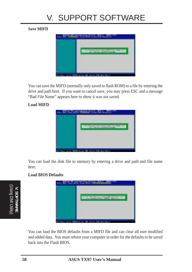#### **Save MIFD**



You can save the MIFD (normally only saved to flash ROM) to a file by entering the drive and path here. If you want to cancel save, you may press ESC and a message "Bad File Name" appears here to show it was not saved.

#### **Load MIFD**



You can load the disk file to memory by entering a drive and path and file name here.

#### **Load BIOS Defaults**



You can load the BIOS defaults from a MIFD file and can clear all user modified and added data. You must reboot your computer in order for the defaults to be saved back into the Flash BIOS.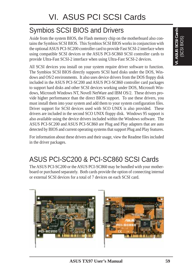# Symbios SCSI BIOS and Drivers

Aside from the system BIOS, the Flash memory chip on the motherboard also contains the Symbios SCSI BIOS. This Symbios SCSI BIOS works in conjunction with the optional ASUS PCI-SC200 controller card to provide Fast SCSI-2 interface when using compatible SCSI devices or the ASUS PCI-SC860 SCSI controller cards to provide Ultra-Fast SCSI-2 interface when using Ultra-Fast SCSI-2 devices.

All SCSI devices you install on your system require driver software to function. The Symbios SCSI BIOS directly supports SCSI hard disks under the DOS, Windows and OS/2 environments. It also uses device drivers from the DOS floppy disk included in the ASUS PCI-SC200 and ASUS PCI-SC860 controller card packages to support hard disks and other SCSI devices working under DOS, Microsoft Windows, Microsoft Windows NT, Novell NetWare and IBM OS/2. These drivers provide higher performance than the direct BIOS support. To use these drivers, you must install them into your system and add them to your system configuration files. Driver support for SCSI devices used with SCO UNIX is also provided. These drivers are included in the second SCO UNIX floppy disk. Windows 95 support is also available using the device drivers included within the Windows software. The ASUS PCI-SC200 and ASUS PCI-SC860 are Plug and Play adapters that are auto detected by BIOS and current operating systems that support Plug and Play features.

For information about these drivers and their usage, view the Readme files included in the driver packages.

# ASUS PCI-SC200 & PCI-SC860 SCSI Cards

The ASUS PCI-SC200 or the ASUS PCI-SC860 may be bundled with your motherboard or purchased separately. Both cards provide the option of connecting internal or external SCSI devices for a total of 7 devices on each SCSI card.

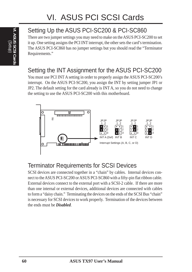# **VI. ASUS SCSI Cards** (Setup)

# Setting Up the ASUS PCI-SC200 & PCI-SC860

There are two jumper settings you may need to make on the ASUS PCI-SC200 to set it up. One setting assigns the PCI INT interrupt, the other sets the card's termination. The ASUS PCI-SC860 has no jumper settings but you should read the "Terminator Requirements."

# Setting the INT Assignment for the ASUS PCI-SC200

You must use PCI INT A setting in order to properly assign the ASUS PCI-SC200's interrupt. On the ASUS PCI-SC200, you assign the INT by setting jumper JP1 or JP2. The default setting for the card already is INT A, so you do not need to change the setting to use the ASUS PCI-SC200 with this motherboard.



# Terminator Requirements for SCSI Devices

SCSI devices are connected together in a "chain" by cables. Internal devices connect to the ASUS PCI-SC200 or ASUS PCI-SC860 with a fifty-pin flat ribbon cable. External devices connect to the external port with a SCSI-2 cable. If there are more than one internal or external devices, additional devices are connected with cables to form a "daisy chain." Terminating the devices on the ends of the SCSI Bus "chain" is necessary for SCSI devices to work properly. Termination of the devices between the ends must be *Disabled*.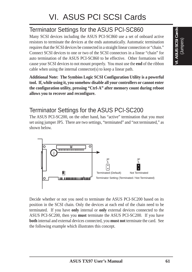# Terminator Settings for the ASUS PCI-SC860

Many SCSI devices including the ASUS PCI-SC860 use a set of onboard active resistors to terminate the devices at the ends automatically. Automatic termination requires that the SCSI devices be connected in a straight linear connection or "chain." Connect SCSI devices to one or two of the SCSI connectors in a linear "chain" for auto termination of the ASUS PCI-SC860 to be effective. Other formations will cause your SCSI devices to not mount properly. You must use the **end** of the ribbon cable when using the internal connector(s) to keep a linear path.

**Additional Note: The Symbios Logic SCSI Configuration Utility is a powerful tool. If, while using it, you somehow disable all your controllers or cannot enter the configuration utility, pressing "Ctrl-A" after memory count during reboot allows you to recover and reconfigure.**

# Terminator Settings for the ASUS PCI-SC200

The ASUS PCI-SC200, on the other hand, has "active" termination that you must set using jumper JP5. There are two settings, "terminated" and "not terminated," as shown below.



Decide whether or not you need to terminate the ASUS PCI-SC200 based on its position in the SCSI chain. Only the devices at each end of the chain need to be terminated. If you have **only** internal or **only** external devices connected to the ASUS PCI-SC200, then you **must** terminate the ASUS PCI-SC200. If you have **both** internal and external devices connected, you **must not** terminate the card. See the following example which illustrates this concept.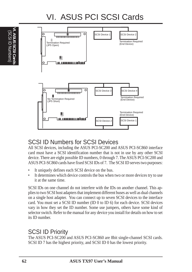# VI. ASUS PCI SCSI Cards



# SCSI ID Numbers for SCSI Devices

All SCSI devices, including the ASUS PCI-SC200 and ASUS PCI-SC860 interface card must have a SCSI identification number that is not in use by any other SCSI device. There are eight possible ID numbers, 0 through 7. The ASUS PCI-SC200 and ASUS PCI-SC860 cards have fixed SCSI IDs of 7. The SCSI ID serves two purposes:

- It uniquely defines each SCSI device on the bus.
- It determines which device controls the bus when two or more devices try to use it at the same time.

SCSI IDs on one channel do not interfere with the IDs on another channel. This applies to two SCSI host adapters that implement different buses as well as dual channels on a single host adapter. You can connect up to seven SCSI devices to the interface card. You must set a SCSI ID number (ID 0 to ID 6) for each device. SCSI devices vary in how they set the ID number. Some use jumpers, others have some kind of selector switch. Refer to the manual for any device you install for details on how to set its ID number.

### SCSI ID Priority

The ASUS PCI-SC200 and ASUS PCI-SC860 are 8bit single-channel SCSI cards. SCSI ID 7 has the highest priority, and SCSI ID 0 has the lowest priority.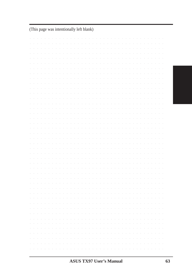(This page was intentionally left blank)

|  | and the contract of the contract of the contract of the contract of the contract of the contract of the contract    |  |  |  |  |  |  |  |  |  |                                                                                                                    |  |  |  |  |  |  |  |
|--|---------------------------------------------------------------------------------------------------------------------|--|--|--|--|--|--|--|--|--|--------------------------------------------------------------------------------------------------------------------|--|--|--|--|--|--|--|
|  | المناقل فالقارض والمنافر فالقارف والقارف والمنافر فالقارف والقارف والقارف والقارف والقارف والقارف والقارف والمنافر  |  |  |  |  |  |  |  |  |  |                                                                                                                    |  |  |  |  |  |  |  |
|  | and a complete the complete of the complete complete the complete of the complete complete the complete of the      |  |  |  |  |  |  |  |  |  |                                                                                                                    |  |  |  |  |  |  |  |
|  | a construction of the construction of the construction of the construction of the construction of the construction  |  |  |  |  |  |  |  |  |  |                                                                                                                    |  |  |  |  |  |  |  |
|  | المناجر والمناجر والمناجر والمناجر والمناجر والمناجر والمناجر والمناجر والمناجر والمناجر والمناجر والمناجر والمناجر |  |  |  |  |  |  |  |  |  |                                                                                                                    |  |  |  |  |  |  |  |
|  | and the company of the company of the company of the company of the company of the company of the company of the    |  |  |  |  |  |  |  |  |  |                                                                                                                    |  |  |  |  |  |  |  |
|  | a constitution of the constitution of the constitution of the constitution of the constitution of the constitution  |  |  |  |  |  |  |  |  |  |                                                                                                                    |  |  |  |  |  |  |  |
|  | a constitution of the constitution of the constitution of the constitution of the constitution of the constitution  |  |  |  |  |  |  |  |  |  |                                                                                                                    |  |  |  |  |  |  |  |
|  | المنام المنام المنام المنام المنام المنام المنام المنام المنام المنام المنام المنام المنام المنام المنام المنام     |  |  |  |  |  |  |  |  |  |                                                                                                                    |  |  |  |  |  |  |  |
|  |                                                                                                                     |  |  |  |  |  |  |  |  |  | a construction of the construction of the construction of the construction of the construction of the construction |  |  |  |  |  |  |  |
|  |                                                                                                                     |  |  |  |  |  |  |  |  |  |                                                                                                                    |  |  |  |  |  |  |  |
|  | and a company of the company of the company of the company of the company of the company of the company of the      |  |  |  |  |  |  |  |  |  |                                                                                                                    |  |  |  |  |  |  |  |
|  | a car a car a car a car a car a car a car a car a car a car a car a car a car a car a car a car a car a car a       |  |  |  |  |  |  |  |  |  |                                                                                                                    |  |  |  |  |  |  |  |
|  | a constitution of the constitution of the constitution of the constitution of the constitution of the constitution  |  |  |  |  |  |  |  |  |  |                                                                                                                    |  |  |  |  |  |  |  |